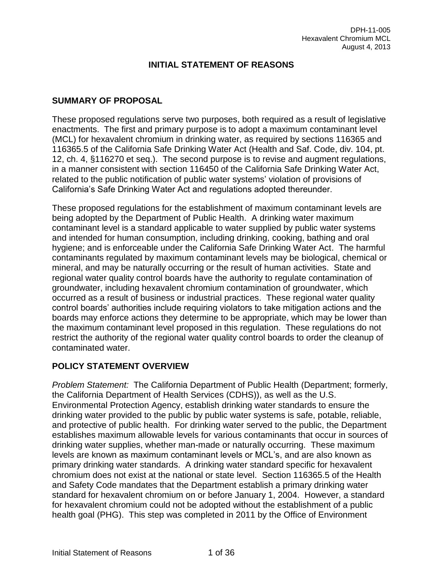# **INITIAL STATEMENT OF REASONS**

## **SUMMARY OF PROPOSAL**

These proposed regulations serve two purposes, both required as a result of legislative enactments. The first and primary purpose is to adopt a maximum contaminant level (MCL) for hexavalent chromium in drinking water, as required by sections 116365 and 116365.5 of the California Safe Drinking Water Act (Health and Saf. Code, div. 104, pt. 12, ch. 4, §116270 et seq.). The second purpose is to revise and augment regulations, in a manner consistent with section 116450 of the California Safe Drinking Water Act, related to the public notification of public water systems' violation of provisions of California's Safe Drinking Water Act and regulations adopted thereunder.

These proposed regulations for the establishment of maximum contaminant levels are being adopted by the Department of Public Health. A drinking water maximum contaminant level is a standard applicable to water supplied by public water systems and intended for human consumption, including drinking, cooking, bathing and oral hygiene; and is enforceable under the California Safe Drinking Water Act. The harmful contaminants regulated by maximum contaminant levels may be biological, chemical or mineral, and may be naturally occurring or the result of human activities. State and regional water quality control boards have the authority to regulate contamination of groundwater, including hexavalent chromium contamination of groundwater, which occurred as a result of business or industrial practices. These regional water quality control boards' authorities include requiring violators to take mitigation actions and the boards may enforce actions they determine to be appropriate, which may be lower than the maximum contaminant level proposed in this regulation. These regulations do not restrict the authority of the regional water quality control boards to order the cleanup of contaminated water.

# **POLICY STATEMENT OVERVIEW**

*Problem Statement:* The California Department of Public Health (Department; formerly, the California Department of Health Services (CDHS)), as well as the U.S. Environmental Protection Agency, establish drinking water standards to ensure the drinking water provided to the public by public water systems is safe, potable, reliable, and protective of public health. For drinking water served to the public, the Department establishes maximum allowable levels for various contaminants that occur in sources of drinking water supplies, whether man-made or naturally occurring. These maximum levels are known as maximum contaminant levels or MCL's, and are also known as primary drinking water standards. A drinking water standard specific for hexavalent chromium does not exist at the national or state level. Section 116365.5 of the Health and Safety Code mandates that the Department establish a primary drinking water standard for hexavalent chromium on or before January 1, 2004. However, a standard for hexavalent chromium could not be adopted without the establishment of a public health goal (PHG). This step was completed in 2011 by the Office of Environment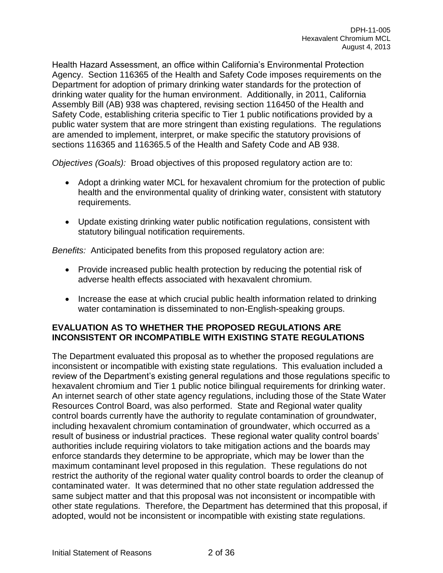Health Hazard Assessment, an office within California's Environmental Protection Agency. Section 116365 of the Health and Safety Code imposes requirements on the Department for adoption of primary drinking water standards for the protection of drinking water quality for the human environment. Additionally, in 2011, California Assembly Bill (AB) 938 was chaptered, revising section 116450 of the Health and Safety Code, establishing criteria specific to Tier 1 public notifications provided by a public water system that are more stringent than existing regulations. The regulations are amended to implement, interpret, or make specific the statutory provisions of sections 116365 and 116365.5 of the Health and Safety Code and AB 938.

*Objectives (Goals):* Broad objectives of this proposed regulatory action are to:

- Adopt a drinking water MCL for hexavalent chromium for the protection of public health and the environmental quality of drinking water, consistent with statutory requirements.
- Update existing drinking water public notification regulations, consistent with statutory bilingual notification requirements.

*Benefits:* Anticipated benefits from this proposed regulatory action are:

- Provide increased public health protection by reducing the potential risk of adverse health effects associated with hexavalent chromium.
- Increase the ease at which crucial public health information related to drinking water contamination is disseminated to non-English-speaking groups.

## **EVALUATION AS TO WHETHER THE PROPOSED REGULATIONS ARE INCONSISTENT OR INCOMPATIBLE WITH EXISTING STATE REGULATIONS**

The Department evaluated this proposal as to whether the proposed regulations are inconsistent or incompatible with existing state regulations. This evaluation included a review of the Department's existing general regulations and those regulations specific to hexavalent chromium and Tier 1 public notice bilingual requirements for drinking water. An internet search of other state agency regulations, including those of the State Water Resources Control Board, was also performed. State and Regional water quality control boards currently have the authority to regulate contamination of groundwater, including hexavalent chromium contamination of groundwater, which occurred as a result of business or industrial practices. These regional water quality control boards' authorities include requiring violators to take mitigation actions and the boards may enforce standards they determine to be appropriate, which may be lower than the maximum contaminant level proposed in this regulation. These regulations do not restrict the authority of the regional water quality control boards to order the cleanup of contaminated water. It was determined that no other state regulation addressed the same subject matter and that this proposal was not inconsistent or incompatible with other state regulations. Therefore, the Department has determined that this proposal, if adopted, would not be inconsistent or incompatible with existing state regulations.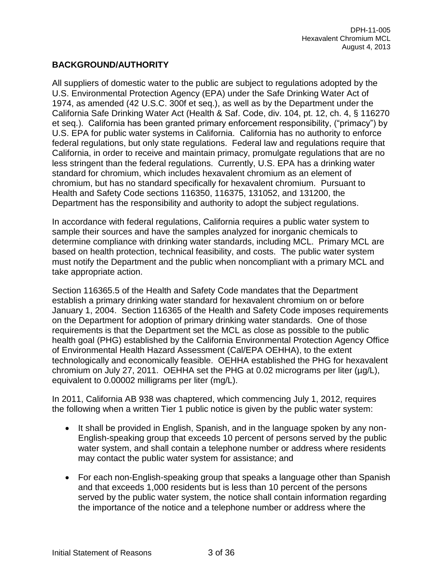# **BACKGROUND/AUTHORITY**

All suppliers of domestic water to the public are subject to regulations adopted by the U.S. Environmental Protection Agency (EPA) under the Safe Drinking Water Act of 1974, as amended (42 U.S.C. 300f et seq.), as well as by the Department under the California Safe Drinking Water Act (Health & Saf. Code, div. 104, pt. 12, ch. 4, § 116270 et seq.). California has been granted primary enforcement responsibility, ("primacy") by U.S. EPA for public water systems in California. California has no authority to enforce federal regulations, but only state regulations. Federal law and regulations require that California, in order to receive and maintain primacy, promulgate regulations that are no less stringent than the federal regulations. Currently, U.S. EPA has a drinking water standard for chromium, which includes hexavalent chromium as an element of chromium, but has no standard specifically for hexavalent chromium. Pursuant to Health and Safety Code sections 116350, 116375, 131052, and 131200, the Department has the responsibility and authority to adopt the subject regulations.

In accordance with federal regulations, California requires a public water system to sample their sources and have the samples analyzed for inorganic chemicals to determine compliance with drinking water standards, including MCL. Primary MCL are based on health protection, technical feasibility, and costs. The public water system must notify the Department and the public when noncompliant with a primary MCL and take appropriate action.

Section 116365.5 of the Health and Safety Code mandates that the Department establish a primary drinking water standard for hexavalent chromium on or before January 1, 2004. Section 116365 of the Health and Safety Code imposes requirements on the Department for adoption of primary drinking water standards. One of those requirements is that the Department set the MCL as close as possible to the public health goal (PHG) established by the California Environmental Protection Agency Office of Environmental Health Hazard Assessment (Cal/EPA OEHHA), to the extent technologically and economically feasible. OEHHA established the PHG for hexavalent chromium on July 27, 2011. OEHHA set the PHG at 0.02 micrograms per liter  $(\mu q/L)$ , equivalent to 0.00002 milligrams per liter (mg/L).

In 2011, California AB 938 was chaptered, which commencing July 1, 2012, requires the following when a written Tier 1 public notice is given by the public water system:

- It shall be provided in English, Spanish, and in the language spoken by any non-English-speaking group that exceeds 10 percent of persons served by the public water system, and shall contain a telephone number or address where residents may contact the public water system for assistance; and
- For each non-English-speaking group that speaks a language other than Spanish and that exceeds 1,000 residents but is less than 10 percent of the persons served by the public water system, the notice shall contain information regarding the importance of the notice and a telephone number or address where the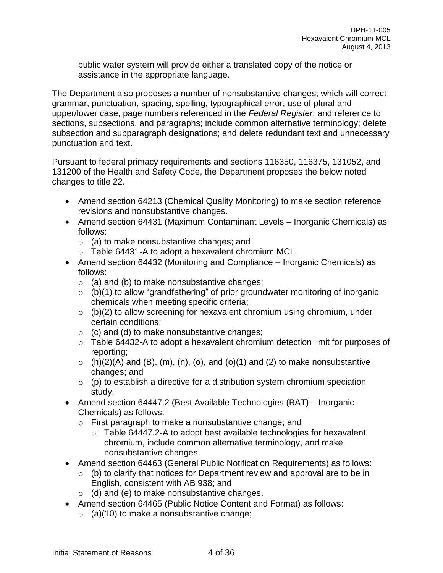public water system will provide either a translated copy of the notice or assistance in the appropriate language.

The Department also proposes a number of nonsubstantive changes, which will correct grammar, punctuation, spacing, spelling, typographical error, use of plural and upper/lower case, page numbers referenced in the *Federal Register*, and reference to sections, subsections, and paragraphs; include common alternative terminology; delete subsection and subparagraph designations; and delete redundant text and unnecessary punctuation and text.

Pursuant to federal primacy requirements and sections 116350, 116375, 131052, and 131200 of the Health and Safety Code, the Department proposes the below noted changes to title 22.

- Amend section 64213 (Chemical Quality Monitoring) to make section reference revisions and nonsubstantive changes.
- Amend section 64431 (Maximum Contaminant Levels Inorganic Chemicals) as follows:
	- o (a) to make nonsubstantive changes; and
	- o Table 64431-A to adopt a hexavalent chromium MCL.
- Amend section 64432 (Monitoring and Compliance Inorganic Chemicals) as follows:
	- $\circ$  (a) and (b) to make nonsubstantive changes;
	- $\circ$  (b)(1) to allow "grandfathering" of prior groundwater monitoring of inorganic chemicals when meeting specific criteria;
	- $\circ$  (b)(2) to allow screening for hexavalent chromium using chromium, under certain conditions;
	- $\circ$  (c) and (d) to make nonsubstantive changes;
	- o Table 64432-A to adopt a hexavalent chromium detection limit for purposes of reporting;
	- $\circ$  (h)(2)(A) and (B), (m), (n), (o), and (o)(1) and (2) to make nonsubstantive changes; and
	- $\circ$  (p) to establish a directive for a distribution system chromium speciation study.
- Amend section 64447.2 (Best Available Technologies (BAT) Inorganic Chemicals) as follows:
	- o First paragraph to make a nonsubstantive change; and
		- $\circ$  Table 64447.2-A to adopt best available technologies for hexavalent chromium, include common alternative terminology, and make nonsubstantive changes.
- Amend section 64463 (General Public Notification Requirements) as follows:
	- $\circ$  (b) to clarify that notices for Department review and approval are to be in English, consistent with AB 938; and
	- $\circ$  (d) and (e) to make nonsubstantive changes.
- Amend section 64465 (Public Notice Content and Format) as follows:
	- $\circ$  (a)(10) to make a nonsubstantive change;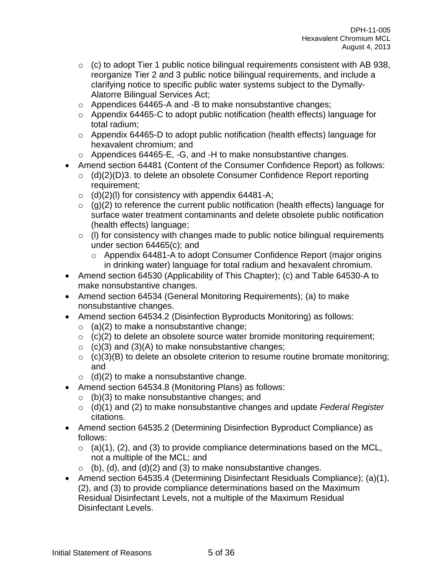- $\circ$  (c) to adopt Tier 1 public notice bilingual requirements consistent with AB 938, reorganize Tier 2 and 3 public notice bilingual requirements, and include a clarifying notice to specific public water systems subject to the Dymally-Alatorre Bilingual Services Act;
- o Appendices 64465-A and -B to make nonsubstantive changes;
- o Appendix 64465-C to adopt public notification (health effects) language for total radium;
- o Appendix 64465-D to adopt public notification (health effects) language for hexavalent chromium; and
- o Appendices 64465-E, -G, and -H to make nonsubstantive changes.
- Amend section 64481 (Content of the Consumer Confidence Report) as follows:
	- $\circ$  (d)(2)(D)3. to delete an obsolete Consumer Confidence Report reporting requirement;
	- $\circ$  (d)(2)(l) for consistency with appendix 64481-A;
	- $\circ$  (g)(2) to reference the current public notification (health effects) language for surface water treatment contaminants and delete obsolete public notification (health effects) language;
	- $\circ$  (I) for consistency with changes made to public notice bilingual requirements under section 64465(c); and
		- o Appendix 64481-A to adopt Consumer Confidence Report (major origins in drinking water) language for total radium and hexavalent chromium.
- Amend section 64530 (Applicability of This Chapter); (c) and Table 64530-A to make nonsubstantive changes.
- Amend section 64534 (General Monitoring Requirements); (a) to make nonsubstantive changes.
- Amend section 64534.2 (Disinfection Byproducts Monitoring) as follows:
	- $\circ$  (a)(2) to make a nonsubstantive change;
	- $\circ$  (c)(2) to delete an obsolete source water bromide monitoring requirement;
	- $\circ$  (c)(3) and (3)(A) to make nonsubstantive changes;
	- $\circ$  (c)(3)(B) to delete an obsolete criterion to resume routine bromate monitoring; and
	- $\circ$  (d)(2) to make a nonsubstantive change.
- Amend section 64534.8 (Monitoring Plans) as follows:
	- $\circ$  (b)(3) to make nonsubstantive changes; and
	- o (d)(1) and (2) to make nonsubstantive changes and update *Federal Register* citations.
- Amend section 64535.2 (Determining Disinfection Byproduct Compliance) as follows:
	- $\circ$  (a)(1), (2), and (3) to provide compliance determinations based on the MCL, not a multiple of the MCL; and
	- $\circ$  (b), (d), and (d)(2) and (3) to make nonsubstantive changes.
- Amend section 64535.4 (Determining Disinfectant Residuals Compliance); (a)(1), (2), and (3) to provide compliance determinations based on the Maximum Residual Disinfectant Levels, not a multiple of the Maximum Residual Disinfectant Levels.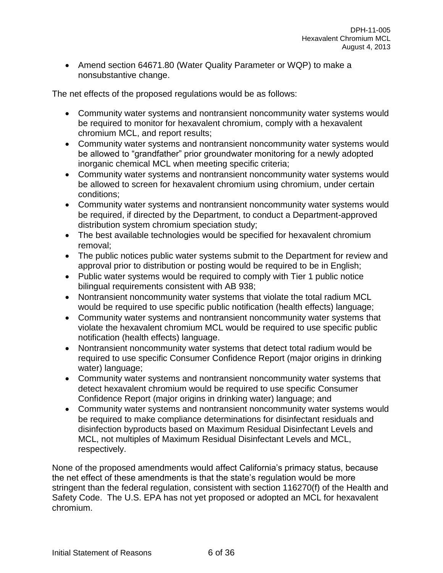• Amend section 64671.80 (Water Quality Parameter or WQP) to make a nonsubstantive change.

The net effects of the proposed regulations would be as follows:

- Community water systems and nontransient noncommunity water systems would be required to monitor for hexavalent chromium, comply with a hexavalent chromium MCL, and report results;
- Community water systems and nontransient noncommunity water systems would be allowed to "grandfather" prior groundwater monitoring for a newly adopted inorganic chemical MCL when meeting specific criteria;
- Community water systems and nontransient noncommunity water systems would be allowed to screen for hexavalent chromium using chromium, under certain conditions;
- Community water systems and nontransient noncommunity water systems would be required, if directed by the Department, to conduct a Department-approved distribution system chromium speciation study;
- The best available technologies would be specified for hexavalent chromium removal;
- The public notices public water systems submit to the Department for review and approval prior to distribution or posting would be required to be in English;
- Public water systems would be required to comply with Tier 1 public notice bilingual requirements consistent with AB 938;
- Nontransient noncommunity water systems that violate the total radium MCL would be required to use specific public notification (health effects) language;
- Community water systems and nontransient noncommunity water systems that violate the hexavalent chromium MCL would be required to use specific public notification (health effects) language.
- Nontransient noncommunity water systems that detect total radium would be required to use specific Consumer Confidence Report (major origins in drinking water) language;
- Community water systems and nontransient noncommunity water systems that detect hexavalent chromium would be required to use specific Consumer Confidence Report (major origins in drinking water) language; and
- Community water systems and nontransient noncommunity water systems would be required to make compliance determinations for disinfectant residuals and disinfection byproducts based on Maximum Residual Disinfectant Levels and MCL, not multiples of Maximum Residual Disinfectant Levels and MCL, respectively.

None of the proposed amendments would affect California's primacy status, because the net effect of these amendments is that the state's regulation would be more stringent than the federal regulation, consistent with section 116270(f) of the Health and Safety Code. The U.S. EPA has not yet proposed or adopted an MCL for hexavalent chromium.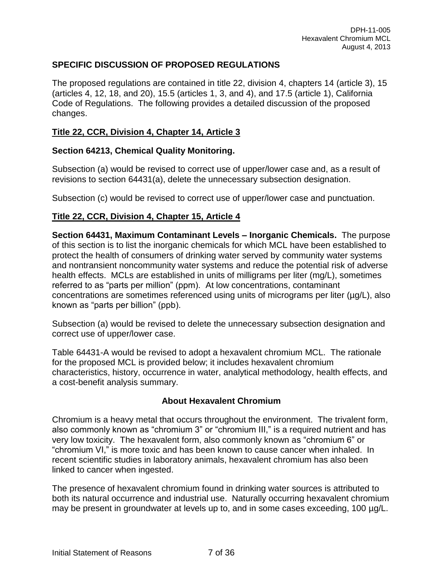# **SPECIFIC DISCUSSION OF PROPOSED REGULATIONS**

The proposed regulations are contained in title 22, division 4, chapters 14 (article 3), 15 (articles 4, 12, 18, and 20), 15.5 (articles 1, 3, and 4), and 17.5 (article 1), California Code of Regulations. The following provides a detailed discussion of the proposed changes.

## **Title 22, CCR, Division 4, Chapter 14, Article 3**

## **Section 64213, Chemical Quality Monitoring.**

Subsection (a) would be revised to correct use of upper/lower case and, as a result of revisions to section 64431(a), delete the unnecessary subsection designation.

Subsection (c) would be revised to correct use of upper/lower case and punctuation.

# **Title 22, CCR, Division 4, Chapter 15, Article 4**

**Section 64431, Maximum Contaminant Levels – Inorganic Chemicals.** The purpose of this section is to list the inorganic chemicals for which MCL have been established to protect the health of consumers of drinking water served by community water systems and nontransient noncommunity water systems and reduce the potential risk of adverse health effects. MCLs are established in units of milligrams per liter (mg/L), sometimes referred to as "parts per million" (ppm). At low concentrations, contaminant concentrations are sometimes referenced using units of micrograms per liter (µg/L), also known as "parts per billion" (ppb).

Subsection (a) would be revised to delete the unnecessary subsection designation and correct use of upper/lower case.

Table 64431-A would be revised to adopt a hexavalent chromium MCL. The rationale for the proposed MCL is provided below; it includes hexavalent chromium characteristics, history, occurrence in water, analytical methodology, health effects, and a cost-benefit analysis summary.

## **About Hexavalent Chromium**

Chromium is a heavy metal that occurs throughout the environment. The trivalent form, also commonly known as "chromium 3" or "chromium III," is a required nutrient and has very low toxicity. The hexavalent form, also commonly known as "chromium 6" or "chromium VI," is more toxic and has been known to cause cancer when inhaled. In recent scientific studies in laboratory animals, hexavalent chromium has also been linked to cancer when ingested.

The presence of hexavalent chromium found in drinking water sources is attributed to both its natural occurrence and industrial use. Naturally occurring hexavalent chromium may be present in groundwater at levels up to, and in some cases exceeding, 100 µg/L.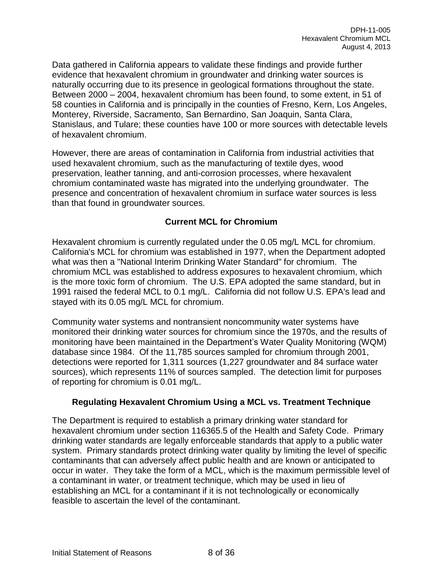Data gathered in California appears to validate these findings and provide further evidence that hexavalent chromium in groundwater and drinking water sources is naturally occurring due to its presence in geological formations throughout the state. Between 2000 – 2004, hexavalent chromium has been found, to some extent, in 51 of 58 counties in California and is principally in the counties of Fresno, Kern, Los Angeles, Monterey, Riverside, Sacramento, San Bernardino, San Joaquin, Santa Clara, Stanislaus, and Tulare; these counties have 100 or more sources with detectable levels of hexavalent chromium.

However, there are areas of contamination in California from industrial activities that used hexavalent chromium, such as the manufacturing of textile dyes, wood preservation, leather tanning, and anti-corrosion processes, where hexavalent chromium contaminated waste has migrated into the underlying groundwater. The presence and concentration of hexavalent chromium in surface water sources is less than that found in groundwater sources.

# **Current MCL for Chromium**

Hexavalent chromium is currently regulated under the 0.05 mg/L MCL for chromium. California's MCL for chromium was established in 1977, when the Department adopted what was then a "National Interim Drinking Water Standard" for chromium. The chromium MCL was established to address exposures to hexavalent chromium, which is the more toxic form of chromium. The U.S. EPA adopted the same standard, but in 1991 raised the federal MCL to 0.1 mg/L. California did not follow U.S. EPA's lead and stayed with its 0.05 mg/L MCL for chromium.

Community water systems and nontransient noncommunity water systems have monitored their drinking water sources for chromium since the 1970s, and the results of monitoring have been maintained in the Department's Water Quality Monitoring (WQM) database since 1984. Of the 11,785 sources sampled for chromium through 2001, detections were reported for 1,311 sources (1,227 groundwater and 84 surface water sources), which represents 11% of sources sampled. The detection limit for purposes of reporting for chromium is 0.01 mg/L.

## **Regulating Hexavalent Chromium Using a MCL vs. Treatment Technique**

The Department is required to establish a primary drinking water standard for hexavalent chromium under section 116365.5 of the Health and Safety Code. Primary drinking water standards are legally enforceable standards that apply to a public water system. Primary standards protect drinking water quality by limiting the level of specific contaminants that can adversely affect public health and are known or anticipated to occur in water. They take the form of a MCL, which is the maximum permissible level of a contaminant in water, or treatment technique, which may be used in lieu of establishing an MCL for a contaminant if it is not technologically or economically feasible to ascertain the level of the contaminant.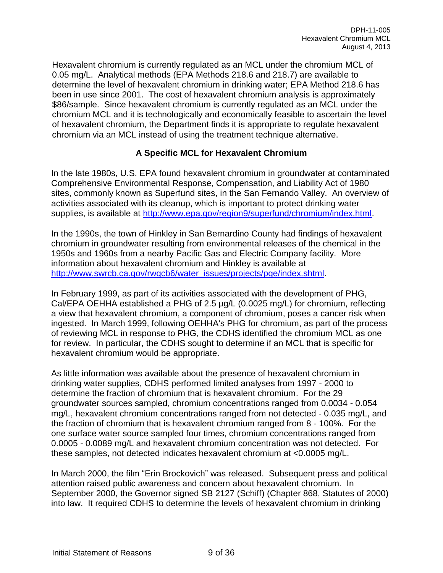Hexavalent chromium is currently regulated as an MCL under the chromium MCL of 0.05 mg/L. Analytical methods (EPA Methods 218.6 and 218.7) are available to determine the level of hexavalent chromium in drinking water; EPA Method 218.6 has been in use since 2001. The cost of hexavalent chromium analysis is approximately \$86/sample. Since hexavalent chromium is currently regulated as an MCL under the chromium MCL and it is technologically and economically feasible to ascertain the level of hexavalent chromium, the Department finds it is appropriate to regulate hexavalent chromium via an MCL instead of using the treatment technique alternative.

# **A Specific MCL for Hexavalent Chromium**

In the late 1980s, U.S. EPA found hexavalent chromium in groundwater at contaminated Comprehensive Environmental Response, Compensation, and Liability Act of 1980 sites, commonly known as Superfund sites, in the San Fernando Valley. An overview of activities associated with its cleanup, which is important to protect drinking water supplies, is available at [http://www.epa.gov/region9/superfund/chromium/index.html.](http://www.epa.gov/region9/superfund/chromium/index.html)

In the 1990s, the town of Hinkley in San Bernardino County had findings of hexavalent chromium in groundwater resulting from environmental releases of the chemical in the 1950s and 1960s from a nearby Pacific Gas and Electric Company facility. More information about hexavalent chromium and Hinkley is available at http://www.swrcb.ca.gov/rwgcb6/water\_issues/projects/pge/index.shtml.

In February 1999, as part of its activities associated with the development of PHG, Cal/EPA OEHHA established a PHG of 2.5 µg/L (0.0025 mg/L) for chromium, reflecting a view that hexavalent chromium, a component of chromium, poses a cancer risk when ingested. In March 1999, following OEHHA's PHG for chromium, as part of the process of reviewing MCL in response to PHG, the CDHS identified the chromium MCL as one for review. In particular, the CDHS sought to determine if an MCL that is specific for hexavalent chromium would be appropriate.

As little information was available about the presence of hexavalent chromium in drinking water supplies, CDHS performed limited analyses from 1997 - 2000 to determine the fraction of chromium that is hexavalent chromium. For the 29 groundwater sources sampled, chromium concentrations ranged from 0.0034 - 0.054 mg/L, hexavalent chromium concentrations ranged from not detected - 0.035 mg/L, and the fraction of chromium that is hexavalent chromium ranged from 8 - 100%. For the one surface water source sampled four times, chromium concentrations ranged from 0.0005 - 0.0089 mg/L and hexavalent chromium concentration was not detected. For these samples, not detected indicates hexavalent chromium at <0.0005 mg/L.

In March 2000, the film "Erin Brockovich" was released. Subsequent press and political attention raised public awareness and concern about hexavalent chromium. In September 2000, the Governor signed SB 2127 (Schiff) (Chapter 868, Statutes of 2000) into law. It required CDHS to determine the levels of hexavalent chromium in drinking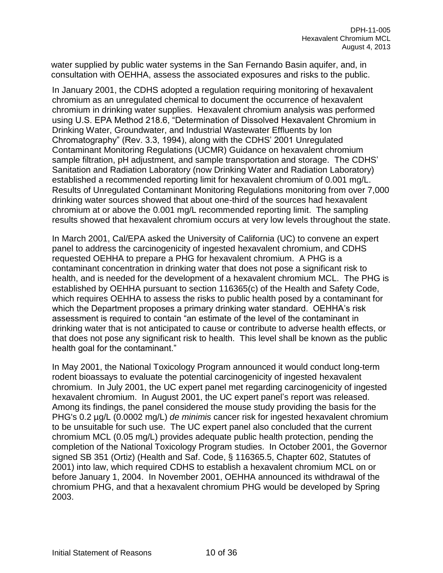water supplied by public water systems in the San Fernando Basin aquifer, and, in consultation with OEHHA, assess the associated exposures and risks to the public.

In January 2001, the CDHS adopted a regulation requiring monitoring of hexavalent chromium as an unregulated chemical to document the occurrence of hexavalent chromium in drinking water supplies. Hexavalent chromium analysis was performed using U.S. EPA Method 218.6, "Determination of Dissolved Hexavalent Chromium in Drinking Water, Groundwater, and Industrial Wastewater Effluents by Ion Chromatography" (Rev. 3.3, 1994), along with the CDHS' 2001 Unregulated Contaminant Monitoring Regulations (UCMR) Guidance on hexavalent chromium sample filtration, pH adjustment, and sample transportation and storage. The CDHS' Sanitation and Radiation Laboratory (now Drinking Water and Radiation Laboratory) established a recommended reporting limit for hexavalent chromium of 0.001 mg/L. Results of Unregulated Contaminant Monitoring Regulations monitoring from over 7,000 drinking water sources showed that about one-third of the sources had hexavalent chromium at or above the 0.001 mg/L recommended reporting limit. The sampling results showed that hexavalent chromium occurs at very low levels throughout the state.

In March 2001, Cal/EPA asked the University of California (UC) to convene an expert panel to address the carcinogenicity of ingested hexavalent chromium, and CDHS requested OEHHA to prepare a PHG for hexavalent chromium. A PHG is a contaminant concentration in drinking water that does not pose a significant risk to health, and is needed for the development of a hexavalent chromium MCL. The PHG is established by OEHHA pursuant to section 116365(c) of the Health and Safety Code, which requires OEHHA to assess the risks to public health posed by a contaminant for which the Department proposes a primary drinking water standard. OEHHA's risk assessment is required to contain "an estimate of the level of the contaminant in drinking water that is not anticipated to cause or contribute to adverse health effects, or that does not pose any significant risk to health. This level shall be known as the public health goal for the contaminant."

In May 2001, the National Toxicology Program announced it would conduct long-term rodent bioassays to evaluate the potential carcinogenicity of ingested hexavalent chromium. In July 2001, the UC expert panel met regarding carcinogenicity of ingested hexavalent chromium. In August 2001, the UC expert panel's report was released. Among its findings, the panel considered the mouse study providing the basis for the PHG's 0.2 µg/L (0.0002 mg/L) *de minimis* cancer risk for ingested hexavalent chromium to be unsuitable for such use. The UC expert panel also concluded that the current chromium MCL (0.05 mg/L) provides adequate public health protection, pending the completion of the National Toxicology Program studies. In October 2001, the Governor signed SB 351 (Ortiz) (Health and Saf. Code, § 116365.5, Chapter 602, Statutes of 2001) into law, which required CDHS to establish a hexavalent chromium MCL on or before January 1, 2004. In November 2001, OEHHA announced its withdrawal of the chromium PHG, and that a hexavalent chromium PHG would be developed by Spring 2003.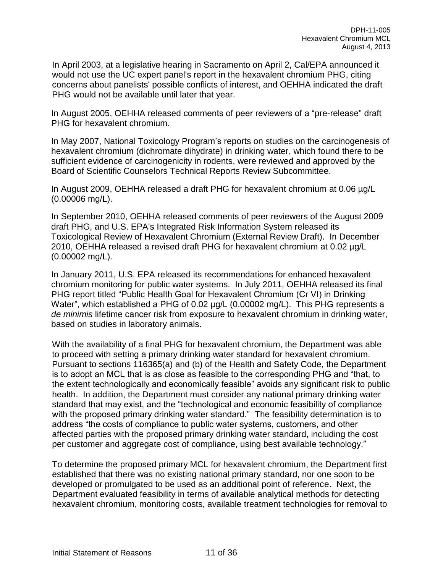In April 2003, at a legislative hearing in Sacramento on April 2, Cal/EPA announced it would not use the UC expert panel's report in the hexavalent chromium PHG, citing concerns about panelists' possible conflicts of interest, and OEHHA indicated the draft PHG would not be available until later that year.

In August 2005, OEHHA released comments of peer reviewers of a "pre-release" draft PHG for hexavalent chromium.

In May 2007, National Toxicology Program's reports on studies on the carcinogenesis of hexavalent chromium (dichromate dihydrate) in drinking water, which found there to be sufficient evidence of carcinogenicity in rodents, were reviewed and approved by the Board of Scientific Counselors Technical Reports Review Subcommittee.

In August 2009, OEHHA released a draft PHG for hexavalent chromium at 0.06 µg/L (0.00006 mg/L).

In September 2010, OEHHA released comments of peer reviewers of the August 2009 draft PHG, and U.S. EPA's Integrated Risk Information System released its Toxicological Review of Hexavalent Chromium (External Review Draft). In December 2010, OEHHA released a revised draft PHG for hexavalent chromium at 0.02 µg/L (0.00002 mg/L).

In January 2011, U.S. EPA released its recommendations for enhanced hexavalent chromium monitoring for public water systems. In July 2011, OEHHA released its final PHG report titled "Public Health Goal for Hexavalent Chromium (Cr VI) in Drinking Water", which established a PHG of 0.02  $\mu$ g/L (0.00002 mg/L). This PHG represents a *de minimis* lifetime cancer risk from exposure to hexavalent chromium in drinking water, based on studies in laboratory animals.

With the availability of a final PHG for hexavalent chromium, the Department was able to proceed with setting a primary drinking water standard for hexavalent chromium. Pursuant to sections 116365(a) and (b) of the Health and Safety Code, the Department is to adopt an MCL that is as close as feasible to the corresponding PHG and "that, to the extent technologically and economically feasible" avoids any significant risk to public health. In addition, the Department must consider any national primary drinking water standard that may exist, and the "technological and economic feasibility of compliance with the proposed primary drinking water standard." The feasibility determination is to address "the costs of compliance to public water systems, customers, and other affected parties with the proposed primary drinking water standard, including the cost per customer and aggregate cost of compliance, using best available technology."

To determine the proposed primary MCL for hexavalent chromium, the Department first established that there was no existing national primary standard, nor one soon to be developed or promulgated to be used as an additional point of reference. Next, the Department evaluated feasibility in terms of available analytical methods for detecting hexavalent chromium, monitoring costs, available treatment technologies for removal to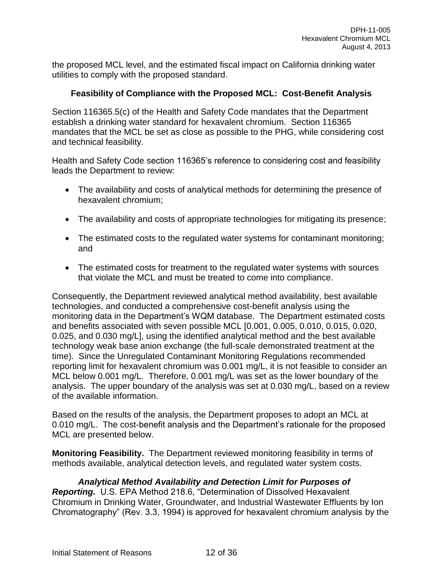the proposed MCL level, and the estimated fiscal impact on California drinking water utilities to comply with the proposed standard.

### **Feasibility of Compliance with the Proposed MCL: Cost-Benefit Analysis**

Section 116365.5(c) of the Health and Safety Code mandates that the Department establish a drinking water standard for hexavalent chromium. Section 116365 mandates that the MCL be set as close as possible to the PHG, while considering cost and technical feasibility.

Health and Safety Code section 116365's reference to considering cost and feasibility leads the Department to review:

- The availability and costs of analytical methods for determining the presence of hexavalent chromium;
- The availability and costs of appropriate technologies for mitigating its presence;
- The estimated costs to the regulated water systems for contaminant monitoring; and
- The estimated costs for treatment to the regulated water systems with sources that violate the MCL and must be treated to come into compliance.

Consequently, the Department reviewed analytical method availability, best available technologies, and conducted a comprehensive cost-benefit analysis using the monitoring data in the Department's WQM database. The Department estimated costs and benefits associated with seven possible MCL [0.001, 0.005, 0.010, 0.015, 0.020, 0.025, and 0.030 mg/L], using the identified analytical method and the best available technology weak base anion exchange (the full-scale demonstrated treatment at the time). Since the Unregulated Contaminant Monitoring Regulations recommended reporting limit for hexavalent chromium was 0.001 mg/L, it is not feasible to consider an MCL below 0.001 mg/L. Therefore, 0.001 mg/L was set as the lower boundary of the analysis. The upper boundary of the analysis was set at 0.030 mg/L, based on a review of the available information.

Based on the results of the analysis, the Department proposes to adopt an MCL at 0.010 mg/L. The cost-benefit analysis and the Department's rationale for the proposed MCL are presented below.

**Monitoring Feasibility.** The Department reviewed monitoring feasibility in terms of methods available, analytical detection levels, and regulated water system costs.

### *Analytical Method Availability and Detection Limit for Purposes of*

*Reporting.* U.S. EPA Method 218.6, "Determination of Dissolved Hexavalent Chromium in Drinking Water, Groundwater, and Industrial Wastewater Effluents by Ion Chromatography" (Rev. 3.3, 1994) is approved for hexavalent chromium analysis by the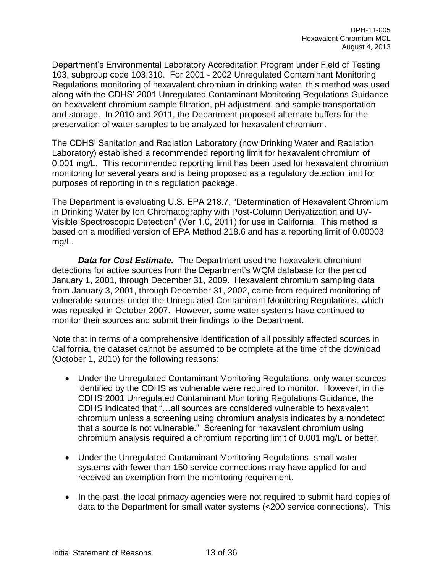Department's Environmental Laboratory Accreditation Program under Field of Testing 103, subgroup code 103.310. For 2001 - 2002 Unregulated Contaminant Monitoring Regulations monitoring of hexavalent chromium in drinking water, this method was used along with the CDHS' 2001 Unregulated Contaminant Monitoring Regulations Guidance on hexavalent chromium sample filtration, pH adjustment, and sample transportation and storage. In 2010 and 2011, the Department proposed alternate buffers for the preservation of water samples to be analyzed for hexavalent chromium.

The CDHS' Sanitation and Radiation Laboratory (now Drinking Water and Radiation Laboratory) established a recommended reporting limit for hexavalent chromium of 0.001 mg/L. This recommended reporting limit has been used for hexavalent chromium monitoring for several years and is being proposed as a regulatory detection limit for purposes of reporting in this regulation package.

The Department is evaluating U.S. EPA 218.7, "Determination of Hexavalent Chromium in Drinking Water by Ion Chromatography with Post-Column Derivatization and UV-Visible Spectroscopic Detection" (Ver 1.0, 2011) for use in California. This method is based on a modified version of EPA Method 218.6 and has a reporting limit of 0.00003 mg/L.

*Data for Cost Estimate.* The Department used the hexavalent chromium detections for active sources from the Department's WQM database for the period January 1, 2001, through December 31, 2009. Hexavalent chromium sampling data from January 3, 2001, through December 31, 2002, came from required monitoring of vulnerable sources under the Unregulated Contaminant Monitoring Regulations, which was repealed in October 2007. However, some water systems have continued to monitor their sources and submit their findings to the Department.

Note that in terms of a comprehensive identification of all possibly affected sources in California, the dataset cannot be assumed to be complete at the time of the download (October 1, 2010) for the following reasons:

- Under the Unregulated Contaminant Monitoring Regulations, only water sources identified by the CDHS as vulnerable were required to monitor. However, in the CDHS 2001 Unregulated Contaminant Monitoring Regulations Guidance, the CDHS indicated that "…all sources are considered vulnerable to hexavalent chromium unless a screening using chromium analysis indicates by a nondetect that a source is not vulnerable." Screening for hexavalent chromium using chromium analysis required a chromium reporting limit of 0.001 mg/L or better.
- Under the Unregulated Contaminant Monitoring Regulations, small water systems with fewer than 150 service connections may have applied for and received an exemption from the monitoring requirement.
- In the past, the local primacy agencies were not required to submit hard copies of data to the Department for small water systems (<200 service connections). This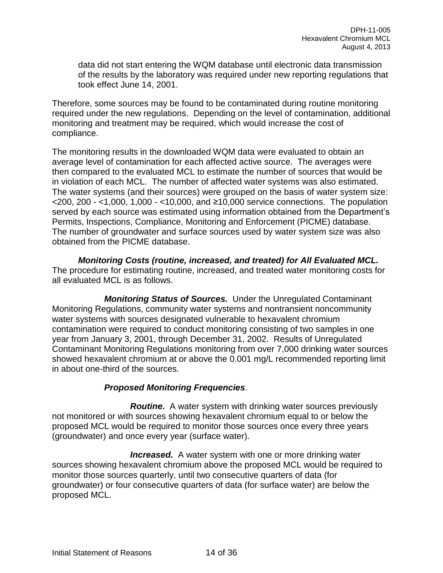data did not start entering the WQM database until electronic data transmission of the results by the laboratory was required under new reporting regulations that took effect June 14, 2001.

Therefore, some sources may be found to be contaminated during routine monitoring required under the new regulations. Depending on the level of contamination, additional monitoring and treatment may be required, which would increase the cost of compliance.

The monitoring results in the downloaded WQM data were evaluated to obtain an average level of contamination for each affected active source. The averages were then compared to the evaluated MCL to estimate the number of sources that would be in violation of each MCL. The number of affected water systems was also estimated. The water systems (and their sources) were grouped on the basis of water system size:  $\leq$  200, 200 -  $\leq$  1,000, 1,000 -  $\leq$  10,000, and  $\geq$  10,000 service connections. The population served by each source was estimated using information obtained from the Department's Permits, Inspections, Compliance, Monitoring and Enforcement (PICME) database. The number of groundwater and surface sources used by water system size was also obtained from the PICME database.

*Monitoring Costs (routine, increased, and treated) for All Evaluated MCL.*  The procedure for estimating routine, increased, and treated water monitoring costs for all evaluated MCL is as follows.

*Monitoring Status of Sources.* Under the Unregulated Contaminant Monitoring Regulations, community water systems and nontransient noncommunity water systems with sources designated vulnerable to hexavalent chromium contamination were required to conduct monitoring consisting of two samples in one year from January 3, 2001, through December 31, 2002. Results of Unregulated Contaminant Monitoring Regulations monitoring from over 7,000 drinking water sources showed hexavalent chromium at or above the 0.001 mg/L recommended reporting limit in about one-third of the sources.

## *Proposed Monitoring Frequencies*.

*Routine.* A water system with drinking water sources previously not monitored or with sources showing hexavalent chromium equal to or below the proposed MCL would be required to monitor those sources once every three years (groundwater) and once every year (surface water).

*Increased.* A water system with one or more drinking water sources showing hexavalent chromium above the proposed MCL would be required to monitor those sources quarterly, until two consecutive quarters of data (for groundwater) or four consecutive quarters of data (for surface water) are below the proposed MCL.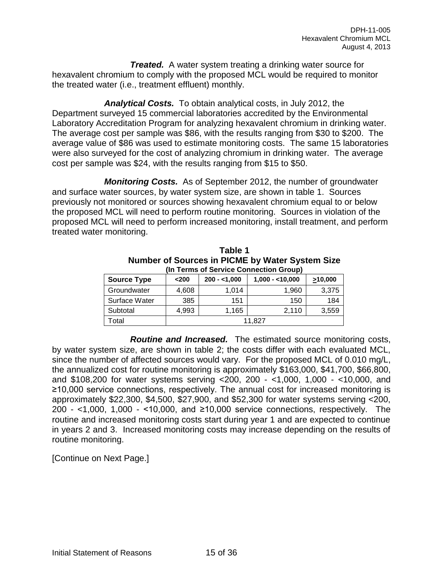*Treated.* A water system treating a drinking water source for hexavalent chromium to comply with the proposed MCL would be required to monitor the treated water (i.e., treatment effluent) monthly.

*Analytical Costs.* To obtain analytical costs, in July 2012, the Department surveyed 15 commercial laboratories accredited by the Environmental Laboratory Accreditation Program for analyzing hexavalent chromium in drinking water. The average cost per sample was \$86, with the results ranging from \$30 to \$200. The average value of \$86 was used to estimate monitoring costs. The same 15 laboratories were also surveyed for the cost of analyzing chromium in drinking water. The average cost per sample was \$24, with the results ranging from \$15 to \$50.

*Monitoring Costs.* As of September 2012, the number of groundwater and surface water sources, by water system size, are shown in table 1. Sources previously not monitored or sources showing hexavalent chromium equal to or below the proposed MCL will need to perform routine monitoring. Sources in violation of the proposed MCL will need to perform increased monitoring, install treatment, and perform treated water monitoring.

| Number of Sources in PICME by Water System Size<br>(In Terms of Service Connection Group) |       |               |                  |               |  |  |  |  |  |  |  |  |
|-------------------------------------------------------------------------------------------|-------|---------------|------------------|---------------|--|--|--|--|--|--|--|--|
| <b>Source Type</b>                                                                        | $200$ | $200 - 1,000$ | $1,000 - 10,000$ | $\geq 10,000$ |  |  |  |  |  |  |  |  |
| Groundwater                                                                               | 4,608 | 1.014         | 1,960            | 3,375         |  |  |  |  |  |  |  |  |
| Surface Water                                                                             | 385   | 151           | 150              | 184           |  |  |  |  |  |  |  |  |
| Subtotal                                                                                  | 4,993 | 1,165         | 2,110            | 3,559         |  |  |  |  |  |  |  |  |
| Total                                                                                     |       |               |                  |               |  |  |  |  |  |  |  |  |

**Table 1**

Total 11,827 *Routine and Increased.* The estimated source monitoring costs, by water system size, are shown in table 2; the costs differ with each evaluated MCL, since the number of affected sources would vary. For the proposed MCL of 0.010 mg/L, the annualized cost for routine monitoring is approximately \$163,000, \$41,700, \$66,800, and \$108,200 for water systems serving <200, 200 - <1,000, 1,000 - <10,000, and ≥10,000 service connections, respectively. The annual cost for increased monitoring is approximately \$22,300, \$4,500, \$27,900, and \$52,300 for water systems serving <200, 200 - <1,000, 1,000 - <10,000, and ≥10,000 service connections, respectively. The routine and increased monitoring costs start during year 1 and are expected to continue in years 2 and 3. Increased monitoring costs may increase depending on the results of

[Continue on Next Page.]

routine monitoring.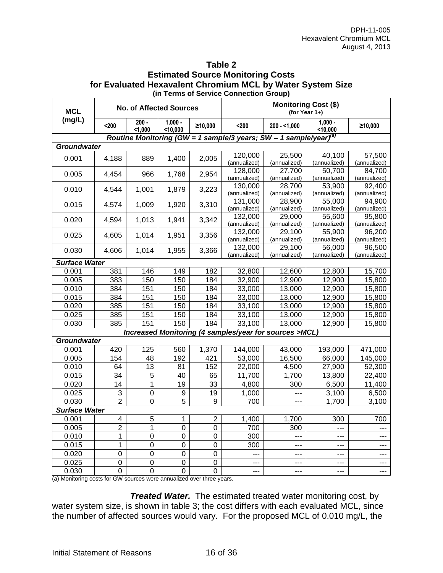#### **Table 2 Estimated Source Monitoring Costs for Evaluated Hexavalent Chromium MCL by Water System Size (in Terms of Service Connection Group)**

| <b>MCL</b>                                                                    |                         |                  | <b>No. of Affected Sources</b> |                  | <b>Monitoring Cost (\$)</b><br>(for Year $1+$ ) |                                                                               |                        |                        |  |
|-------------------------------------------------------------------------------|-------------------------|------------------|--------------------------------|------------------|-------------------------------------------------|-------------------------------------------------------------------------------|------------------------|------------------------|--|
| (mg/L)                                                                        | $200$                   | $200 -$<br>1,000 | $1,000 -$<br>$<$ 10,000        | ≥10,000          | $200$                                           | $200 - 1,000$                                                                 | $1,000 -$<br>$10,000$  | ≥10,000                |  |
|                                                                               |                         |                  |                                |                  |                                                 | Routine Monitoring (GW = 1 sample/3 years; SW - 1 sample/year) <sup>(a)</sup> |                        |                        |  |
| <b>Groundwater</b>                                                            |                         |                  |                                |                  |                                                 |                                                                               |                        |                        |  |
| 0.001                                                                         | 4,188                   | 889              | 1,400                          | 2,005            | 120,000<br>(annualized)                         | 25,500<br>(annualized)                                                        | 40,100<br>(annualized) | 57,500<br>(annualized) |  |
| 0.005                                                                         | 4,454                   | 966              | 1,768                          | 2,954            | 128,000<br>(annualized)                         | 27,700<br>(annualized)                                                        | 50,700<br>(annualized) | 84,700<br>(annualized) |  |
| 0.010                                                                         | 4,544                   | 1,001            | 1,879                          | 3,223            | 130,000<br>(annualized)                         | 28,700<br>(annualized)                                                        | 53,900<br>(annualized) | 92,400<br>(annualized) |  |
| 0.015                                                                         | 4,574                   | 1,009            | 1,920                          | 3,310            | 131,000<br>(annualized)                         | 28,900<br>(annualized)                                                        | 55,000<br>(annualized) | 94,900<br>(annualized) |  |
| 0.020                                                                         | 4,594                   | 1,013            | 1,941                          | 3,342            | 132,000<br>(annualized)                         | 29,000<br>(annualized)                                                        | 55.600<br>(annualized) | 95,800<br>(annualized) |  |
| 0.025                                                                         | 4,605                   | 1,014            | 1,951                          | 3,356            | 132,000<br>(annualized)                         | 29,100<br>(annualized)                                                        | 55,900<br>(annualized) | 96,200<br>(annualized) |  |
| 0.030                                                                         | 4,606                   | 1,014            | 1,955                          | 3,366            | 132,000<br>(annualized)                         | 29,100<br>(annualized)                                                        | 56,000<br>(annualized) | 96,500<br>(annualized) |  |
| <b>Surface Water</b>                                                          |                         |                  |                                |                  |                                                 |                                                                               |                        |                        |  |
| 0.001                                                                         | 381                     | 146              | 149                            | 182              | 32,800                                          | 12,600                                                                        | 12,800                 | 15,700                 |  |
| 0.005                                                                         | 383                     | 150              | 150                            | 184              | 32,900                                          | 12,900                                                                        | 12,900                 | 15,800                 |  |
| 0.010                                                                         | 384                     | 151              | 150                            | 184              | 33,000                                          | 13,000                                                                        | 12,900                 | 15,800                 |  |
| 0.015                                                                         | 384                     | 151              | 150                            | 184              | 33,000                                          | 13,000                                                                        | 12,900                 | 15,800                 |  |
| 0.020                                                                         | 385                     | 151              | 150                            | 184              | 33,100                                          | 13,000                                                                        | 12,900                 | 15,800                 |  |
| 0.025                                                                         | 385                     | 151              | 150                            | 184              | 33,100                                          | 13,000                                                                        | 12,900                 | 15,800                 |  |
| 0.030                                                                         | 385                     | 151              | 150                            | 184              | 33,100                                          | 13,000                                                                        | 12,900                 | 15,800                 |  |
|                                                                               |                         |                  |                                |                  |                                                 | Increased Monitoring (4 samples/year for sources >MCL)                        |                        |                        |  |
| <b>Groundwater</b>                                                            |                         |                  |                                |                  |                                                 |                                                                               |                        |                        |  |
| 0.001                                                                         | 420                     | 125              | 560                            | 1,370            | 144,000                                         | 43,000                                                                        | 193,000                | 471,000                |  |
| 0.005                                                                         | 154                     | 48               | 192                            | 421              | 53,000                                          | 16,500                                                                        | 66,000                 | 145,000                |  |
| 0.010                                                                         | 64                      | 13               | 81                             | 152              | 22,000                                          | 4,500                                                                         | 27,900                 | 52,300                 |  |
| 0.015                                                                         | 34                      | $\overline{5}$   | 40                             | 65               | 11,700                                          | 1,700                                                                         | 13,800                 | 22,400                 |  |
| 0.020                                                                         | 14                      | 1                | 19                             | 33               | 4,800                                           | 300                                                                           | 6,500                  | 11,400                 |  |
| 0.025                                                                         | 3                       | $\mathbf 0$      | 9                              | 19               | 1,000                                           |                                                                               | 3,100                  | 6,500                  |  |
| 0.030                                                                         | $\overline{2}$          | $\overline{0}$   | $\overline{5}$                 | $\boldsymbol{9}$ | 700                                             | ---                                                                           | 1,700                  | 3,100                  |  |
| <b>Surface Water</b>                                                          |                         |                  |                                |                  |                                                 |                                                                               |                        |                        |  |
| 0.001                                                                         | $\overline{\mathbf{4}}$ | $\overline{5}$   | $\mathbf{1}$                   | $\overline{2}$   | 1,400                                           | 1,700                                                                         | 300                    | 700                    |  |
| 0.005                                                                         | 2                       | 1                | 0                              | $\mathbf 0$      | 700                                             | 300                                                                           |                        |                        |  |
| 0.010                                                                         | 1                       | $\overline{0}$   | 0                              | 0                | 300                                             | ---                                                                           | $---$                  | ---                    |  |
| 0.015                                                                         | 1                       | $\mathbf 0$      | $\boldsymbol{0}$               | $\boldsymbol{0}$ | 300                                             | ---                                                                           | ---                    | ---                    |  |
| 0.020                                                                         | $\mathbf 0$             | $\mathbf 0$      | $\boldsymbol{0}$               | $\mathbf 0$      | ---                                             | ---                                                                           | ---                    | ---                    |  |
| 0.025                                                                         | $\mathbf 0$             | 0                | $\boldsymbol{0}$               | $\boldsymbol{0}$ | $---$                                           | ---                                                                           | ---                    | ---                    |  |
| 0.030<br>(a) Monitoring costs for CM sources were appualized over three years | $\Omega$                | 0                | 0                              | 0                | ---                                             | ---                                                                           | ---                    | ---                    |  |

(a) Monitoring costs for GW sources were annualized over three years.

*Treated Water.* The estimated treated water monitoring cost, by water system size, is shown in table 3; the cost differs with each evaluated MCL, since the number of affected sources would vary. For the proposed MCL of 0.010 mg/L, the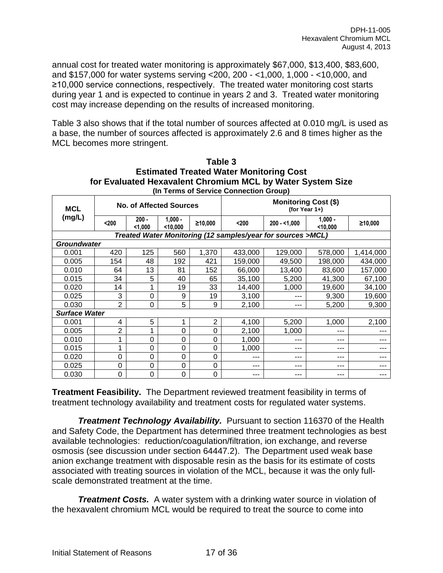annual cost for treated water monitoring is approximately \$67,000, \$13,400, \$83,600, and \$157,000 for water systems serving <200, 200 - <1,000, 1,000 - <10,000, and ≥10,000 service connections, respectively. The treated water monitoring cost starts during year 1 and is expected to continue in years 2 and 3. Treated water monitoring cost may increase depending on the results of increased monitoring.

Table 3 also shows that if the total number of sources affected at 0.010 mg/L is used as a base, the number of sources affected is approximately 2.6 and 8 times higher as the MCL becomes more stringent.

|                      | (In Terms of Service Connection Group) |                         |                       |         |                                                 |                                                             |                       |           |  |  |  |  |  |
|----------------------|----------------------------------------|-------------------------|-----------------------|---------|-------------------------------------------------|-------------------------------------------------------------|-----------------------|-----------|--|--|--|--|--|
| <b>MCL</b>           |                                        | No. of Affected Sources |                       |         | <b>Monitoring Cost (\$)</b><br>(for Year $1+$ ) |                                                             |                       |           |  |  |  |  |  |
| (mg/L)               | $200$                                  | $200 -$<br>1,000        | $1,000 -$<br>< 10,000 | ≥10,000 | $200$                                           | $200 - 1,000$                                               | $1,000 -$<br>$10,000$ | ≥10,000   |  |  |  |  |  |
|                      |                                        |                         |                       |         |                                                 | Treated Water Monitoring (12 samples/year for sources >MCL) |                       |           |  |  |  |  |  |
| <b>Groundwater</b>   |                                        |                         |                       |         |                                                 |                                                             |                       |           |  |  |  |  |  |
| 0.001                | 420                                    | 125                     | 560                   | 1,370   | 433,000                                         | 129,000                                                     | 578,000               | 1,414,000 |  |  |  |  |  |
| 0.005                | 154                                    | 48                      | 192                   | 421     | 159,000                                         | 49,500                                                      | 198,000               | 434,000   |  |  |  |  |  |
| 0.010                | 64                                     | 13                      | 81                    | 152     | 66,000                                          | 13,400                                                      | 83,600                | 157,000   |  |  |  |  |  |
| 0.015                | 34                                     | 5                       | 40                    | 65      | 35,100                                          | 5,200                                                       | 41,300                | 67,100    |  |  |  |  |  |
| 0.020                | 14                                     | 1                       | 19                    | 33      | 14,400                                          | 1,000                                                       | 19,600                | 34,100    |  |  |  |  |  |
| 0.025                | 3                                      | 0                       | 9                     | 19      | 3,100                                           | ---                                                         | 9,300                 | 19,600    |  |  |  |  |  |
| 0.030                | $\overline{2}$                         | 0                       | 5                     | 9       | 2,100                                           | ---                                                         | 5,200                 | 9,300     |  |  |  |  |  |
| <b>Surface Water</b> |                                        |                         |                       |         |                                                 |                                                             |                       |           |  |  |  |  |  |
| 0.001                | 4                                      | 5                       | 1                     | 2       | 4,100                                           | 5,200                                                       | 1,000                 | 2,100     |  |  |  |  |  |
| 0.005                | $\overline{2}$                         | 1                       | 0                     | 0       | 2,100                                           | 1,000                                                       | ---                   | ---       |  |  |  |  |  |
| 0.010                |                                        | 0                       | 0                     | 0       | 1,000                                           | ---                                                         | ---                   | ---       |  |  |  |  |  |
| 0.015                | 1                                      | 0                       | 0                     | 0       | 1,000                                           | ---                                                         | ---                   | ---       |  |  |  |  |  |
| 0.020                | $\overline{0}$                         | 0                       | 0                     | 0       | ---                                             | ---                                                         | ---                   | ---       |  |  |  |  |  |
| 0.025                | 0                                      | 0                       | 0                     | 0       | ---                                             | ---                                                         | ---                   | ---       |  |  |  |  |  |
| 0.030                | $\Omega$                               | 0                       | 0                     | 0       | ---                                             | ---                                                         | ---                   | ---       |  |  |  |  |  |

| Table 3                                                    |
|------------------------------------------------------------|
| <b>Estimated Treated Water Monitoring Cost</b>             |
| for Evaluated Hexavalent Chromium MCL by Water System Size |
| (In Terms of Service Connection Group)                     |

**Treatment Feasibility.** The Department reviewed treatment feasibility in terms of treatment technology availability and treatment costs for regulated water systems.

**Treatment Technology Availability.** Pursuant to section 116370 of the Health and Safety Code, the Department has determined three treatment technologies as best available technologies: reduction/coagulation/filtration, ion exchange, and reverse osmosis (see discussion under section 64447.2). The Department used weak base anion exchange treatment with disposable resin as the basis for its estimate of costs associated with treating sources in violation of the MCL, because it was the only fullscale demonstrated treatment at the time.

*Treatment Costs.* A water system with a drinking water source in violation of the hexavalent chromium MCL would be required to treat the source to come into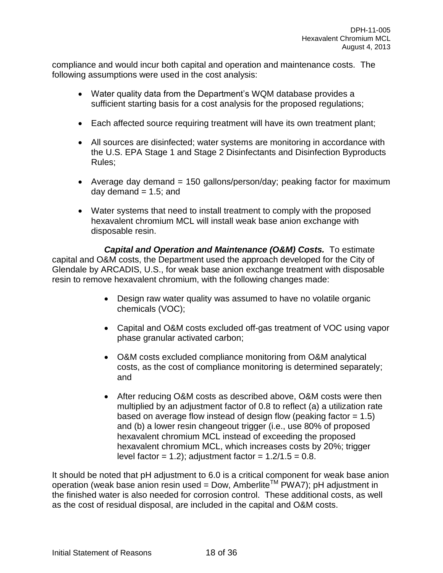compliance and would incur both capital and operation and maintenance costs. The following assumptions were used in the cost analysis:

- Water quality data from the Department's WQM database provides a sufficient starting basis for a cost analysis for the proposed regulations;
- Each affected source requiring treatment will have its own treatment plant;
- All sources are disinfected; water systems are monitoring in accordance with the U.S. EPA Stage 1 and Stage 2 Disinfectants and Disinfection Byproducts Rules;
- Average day demand = 150 gallons/person/day; peaking factor for maximum day demand  $= 1.5$ ; and
- Water systems that need to install treatment to comply with the proposed hexavalent chromium MCL will install weak base anion exchange with disposable resin.

*Capital and Operation and Maintenance (O&M) Costs.* To estimate capital and O&M costs, the Department used the approach developed for the City of Glendale by ARCADIS, U.S., for weak base anion exchange treatment with disposable resin to remove hexavalent chromium, with the following changes made:

- Design raw water quality was assumed to have no volatile organic chemicals (VOC);
- Capital and O&M costs excluded off-gas treatment of VOC using vapor phase granular activated carbon;
- O&M costs excluded compliance monitoring from O&M analytical costs, as the cost of compliance monitoring is determined separately; and
- After reducing O&M costs as described above, O&M costs were then multiplied by an adjustment factor of 0.8 to reflect (a) a utilization rate based on average flow instead of design flow (peaking factor  $= 1.5$ ) and (b) a lower resin changeout trigger (i.e., use 80% of proposed hexavalent chromium MCL instead of exceeding the proposed hexavalent chromium MCL, which increases costs by 20%; trigger level factor = 1.2); adjustment factor =  $1.2/1.5 = 0.8$ .

It should be noted that pH adjustment to 6.0 is a critical component for weak base anion operation (weak base anion resin used = Dow, Amberlite<sup>TM</sup> PWA7); pH adjustment in the finished water is also needed for corrosion control. These additional costs, as well as the cost of residual disposal, are included in the capital and O&M costs.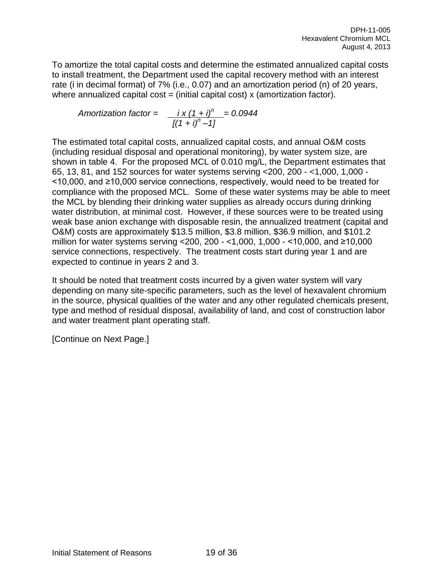To amortize the total capital costs and determine the estimated annualized capital costs to install treatment, the Department used the capital recovery method with an interest rate (i in decimal format) of 7% (i.e., 0.07) and an amortization period (n) of 20 years, where annualized capital  $cost = (initial capital cost) x (amortization factor)$ .

Amortization factor =

\n
$$
\frac{i \times (1 + i)^n}{[(1 + i)^n - 1]} = 0.0944
$$

The estimated total capital costs, annualized capital costs, and annual O&M costs (including residual disposal and operational monitoring), by water system size, are shown in table 4. For the proposed MCL of 0.010 mg/L, the Department estimates that 65, 13, 81, and 152 sources for water systems serving <200, 200 - <1,000, 1,000 - <10,000, and ≥10,000 service connections, respectively, would need to be treated for compliance with the proposed MCL. Some of these water systems may be able to meet the MCL by blending their drinking water supplies as already occurs during drinking water distribution, at minimal cost. However, if these sources were to be treated using weak base anion exchange with disposable resin, the annualized treatment (capital and O&M) costs are approximately \$13.5 million, \$3.8 million, \$36.9 million, and \$101.2 million for water systems serving <200, 200 - <1,000, 1,000 - <10,000, and ≥10,000 service connections, respectively. The treatment costs start during year 1 and are expected to continue in years 2 and 3.

It should be noted that treatment costs incurred by a given water system will vary depending on many site-specific parameters, such as the level of hexavalent chromium in the source, physical qualities of the water and any other regulated chemicals present, type and method of residual disposal, availability of land, and cost of construction labor and water treatment plant operating staff.

[Continue on Next Page.]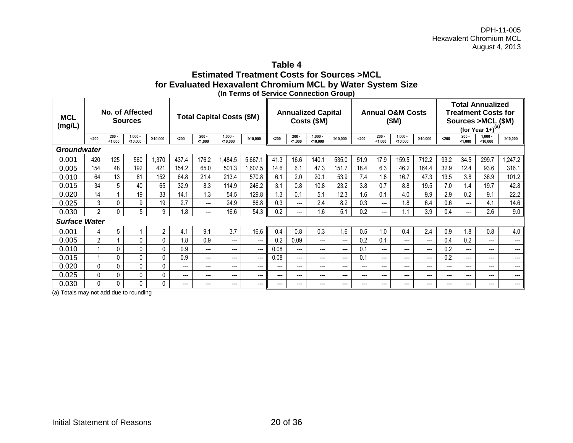### **Table 4 Estimated Treatment Costs for Sources >MCL for Evaluated Hexavalent Chromium MCL by Water System Size (In Terms of Service Connection Group)**

| <b>MCL</b><br>(mg/L) | No. of Affected<br><b>Sources</b> |                    |                       |          | <b>Total Capital Costs (\$M)</b> |                    |                       |         | <b>Annualized Capital</b><br>Costs (\$M) |                    |                     | <b>Annual O&amp;M Costs</b><br>(\$M) |       |                        |                       | <b>Total Annualized</b><br><b>Treatment Costs for</b><br>Sources > MCL (\$M)<br>(for Year $1+$ ) <sup>(a)</sup> |       |                    |                       |         |
|----------------------|-----------------------------------|--------------------|-----------------------|----------|----------------------------------|--------------------|-----------------------|---------|------------------------------------------|--------------------|---------------------|--------------------------------------|-------|------------------------|-----------------------|-----------------------------------------------------------------------------------------------------------------|-------|--------------------|-----------------------|---------|
|                      | $200$                             | $200 -$<br>< 1.000 | $1.000 -$<br>< 10.000 | ≥10,000  | $200$                            | $200 -$<br>< 1.000 | $1.000 -$<br>< 10.000 | ≥10.000 | $200$                                    | $200 -$<br>< 1.000 | $1,000 -$<br>10.000 | ≥10.000                              | $200$ | $200 -$<br>< 1.000     | $1.000 -$<br>< 10.000 | ≥10.000                                                                                                         | $200$ | $200 -$<br>< 1.000 | $1.000 -$<br>< 10.000 | ≥10.000 |
| <b>Groundwater</b>   |                                   |                    |                       |          |                                  |                    |                       |         |                                          |                    |                     |                                      |       |                        |                       |                                                                                                                 |       |                    |                       |         |
| 0.001                | 420                               | 125                | 560                   | 1,370    | 437.4                            | 176.2              | ,484.5                | 5,667.1 | 41.3                                     | 16.6               | 140.1               | 535.0                                | 51.9  | 17.9                   | 159.5                 | 712.2                                                                                                           | 93.2  | 34.5               | 299.7                 | .247.2  |
| 0.005                | 154                               | 48                 | 192                   | 421      | 154.2                            | 65.0               | 501.3                 | 1.607.5 | 14.6                                     | 6.1                | 47.3                | 151.7                                | 18.4  | 6.3                    | 46.2                  | 164.4                                                                                                           | 32.9  | 12.4               | 93.6                  | 316.1   |
| 0.010                | 64                                | 13                 | 81                    | 152      | 64.8                             | 21.4               | 213.4                 | 570.8   | 6.1                                      | 2.0                | 20.1                | 53.9                                 | 7.4   | 1.8                    | 16.7                  | 47.3                                                                                                            | 13.5  | 3.8                | 36.9                  | 101.2   |
| 0.015                | 34                                | 5                  | 40                    | 65       | 32.9                             | 8.3                | 114.9                 | 246.2   | 3.1                                      | 0.8                | 10.8                | 23.2                                 | 3.8   | 0.7                    | 8.8                   | 19.5                                                                                                            | 7.0   | 1.4                | 19.7                  | 42.8    |
| 0.020                | 14                                | $\mathbf 1$        | 19                    | 33       | 14.1                             | 1.3                | 54.5                  | 129.8   | 1.3                                      | 0.1                | 5.1                 | 12.3                                 | 1.6   | 0.1                    | 4.0                   | 9.9                                                                                                             | 2.9   | 0.2                | 9.1                   | 22.2    |
| 0.025                | 3                                 | 0                  | 9                     | 19       | 2.7                              | ---                | 24.9                  | 86.8    | 0.3                                      | ---                | 2.4                 | 8.2                                  | 0.3   | $\qquad \qquad \cdots$ | 1.8                   | 6.4                                                                                                             | 0.6   | ---                | 4.1                   | 14.6    |
| 0.030                | $\mathfrak{p}$                    | 0                  | 5                     | 9        | 1.8                              | $---$              | 16.6                  | 54.3    | 0.2                                      | ---                | 1.6                 | 5.1                                  | 0.2   | $\qquad \qquad \cdots$ | 1.1                   | 3.9                                                                                                             | 0.4   | ---                | 2.6                   | 9.0     |
| <b>Surface Water</b> |                                   |                    |                       |          |                                  |                    |                       |         |                                          |                    |                     |                                      |       |                        |                       |                                                                                                                 |       |                    |                       |         |
| 0.001                | 4                                 | 5                  |                       | 2        | 4.1                              | 9.1                | 3.7                   | 16.6    | 0.4                                      | 0.8                | 0.3                 | 1.6                                  | 0.5   | 1.0                    | 0.4                   | 2.4                                                                                                             | 0.9   | 1.8                | 0.8                   | 4.0     |
| 0.005                | $\overline{2}$                    |                    | 0                     | $\Omega$ | 1.8                              | 0.9                | ---                   | $---$   | 0.2                                      | 0.09               | $---$               | ---                                  | 0.2   | 0.1                    | ---                   | ---                                                                                                             | 0.4   | 0.2                | $---$                 | ---     |
| 0.010                |                                   | 0                  | 0                     | $\Omega$ | 0.9                              | $---$              | $---$                 | $---$   | 0.08                                     | $---$              | $---$               | ---                                  | 0.1   | $---$                  | ---                   | ---                                                                                                             | 0.2   | ---                | $---$                 | ---     |
| 0.015                |                                   | 0                  | 0                     | $\Omega$ | 0.9                              | $---$              | ---                   | ---     | 0.08                                     | ---                | $---$               | ---                                  | 0.1   | $---$                  | ---                   | ---                                                                                                             | 0.2   | ---                | $---$                 | ---     |
| 0.020                | 0                                 | 0                  | 0                     | $\Omega$ | ---                              | $- - -$            | $---$                 | $---$   | ---                                      | ---                | $---$               | ---                                  | ---   | $---$                  | ---                   | ---                                                                                                             | $---$ | ---                | $---$                 | ---     |
| 0.025                | 0                                 | 0                  | $\mathbf{0}$          | 0        | ---                              | $---$              | ---                   | $---$   | ---                                      | ---                | $---$               | $---$                                | ---   | $---$                  | ---                   | ---                                                                                                             | $--$  | ---                | $---$                 | ---     |
| 0.030                | 0                                 | 0                  | 0                     | 0        | $---$                            | $- - -$            | ---                   | ---     | ---                                      | ---                | $---$               | $---$                                | ---   | $---$                  | ---                   | ---                                                                                                             | $---$ | ---                | $---$                 | ---     |

(a) Totals may not add due to rounding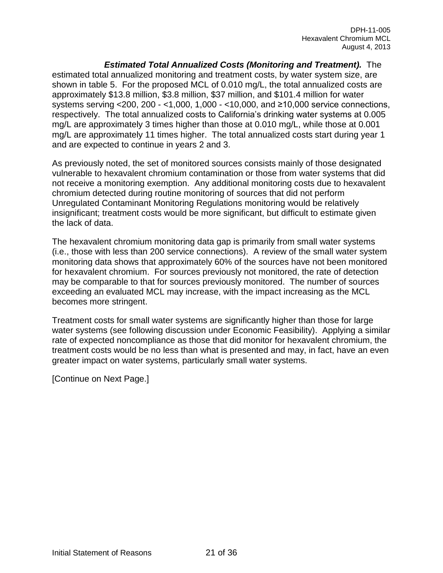*Estimated Total Annualized Costs (Monitoring and Treatment).*The estimated total annualized monitoring and treatment costs, by water system size, are shown in table 5. For the proposed MCL of 0.010 mg/L, the total annualized costs are approximately \$13.8 million, \$3.8 million, \$37 million, and \$101.4 million for water systems serving <200, 200 - <1,000, 1,000 - <10,000, and ≥10,000 service connections, respectively. The total annualized costs to California's drinking water systems at 0.005 mg/L are approximately 3 times higher than those at 0.010 mg/L, while those at 0.001 mg/L are approximately 11 times higher. The total annualized costs start during year 1 and are expected to continue in years 2 and 3.

As previously noted, the set of monitored sources consists mainly of those designated vulnerable to hexavalent chromium contamination or those from water systems that did not receive a monitoring exemption. Any additional monitoring costs due to hexavalent chromium detected during routine monitoring of sources that did not perform Unregulated Contaminant Monitoring Regulations monitoring would be relatively insignificant; treatment costs would be more significant, but difficult to estimate given the lack of data.

The hexavalent chromium monitoring data gap is primarily from small water systems (i.e., those with less than 200 service connections). A review of the small water system monitoring data shows that approximately 60% of the sources have not been monitored for hexavalent chromium. For sources previously not monitored, the rate of detection may be comparable to that for sources previously monitored. The number of sources exceeding an evaluated MCL may increase, with the impact increasing as the MCL becomes more stringent.

Treatment costs for small water systems are significantly higher than those for large water systems (see following discussion under Economic Feasibility). Applying a similar rate of expected noncompliance as those that did monitor for hexavalent chromium, the treatment costs would be no less than what is presented and may, in fact, have an even greater impact on water systems, particularly small water systems.

[Continue on Next Page.]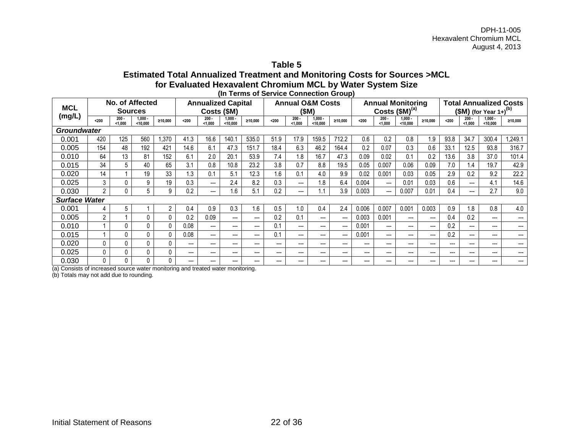**Table 5**

#### **Estimated Total Annualized Treatment and Monitoring Costs for Sources >MCL for Evaluated Hexavalent Chromium MCL by Water System Size (In Terms of Service Connection Group)**

| No. of Affected      |                |                    |                 |                |                           |                    |                         |         |                             |                    |                       |                          |                                    |                    |                               |                          |       |                    |                       |         |
|----------------------|----------------|--------------------|-----------------|----------------|---------------------------|--------------------|-------------------------|---------|-----------------------------|--------------------|-----------------------|--------------------------|------------------------------------|--------------------|-------------------------------|--------------------------|-------|--------------------|-----------------------|---------|
| <b>MCL</b>           |                |                    |                 |                | <b>Annualized Capital</b> |                    |                         |         | <b>Annual O&amp;M Costs</b> |                    |                       | <b>Annual Monitoring</b> |                                    |                    | <b>Total Annualized Costs</b> |                          |       |                    |                       |         |
|                      | <b>Sources</b> |                    |                 | Costs (\$M)    |                           |                    | (SM)                    |         |                             | Costs $(SM)^{(a)}$ |                       |                          | $$M)$ (for Year 1+) <sup>(b)</sup> |                    |                               |                          |       |                    |                       |         |
| (mg/L)               | $200$          | $200 -$<br>< 1.000 | 1,000<br>10,000 | ≥10.000        | $200$                     | $200 -$<br>< 1.000 | $1.000 \cdot$<br>10,000 | ≥10.000 | $200$                       | $200 -$<br>1,000   | $1.000 -$<br>< 10,000 | ≥10,000                  | $200$                              | $200 -$<br>< 1.000 | $1.000 -$<br>< 10,000         | ≥10.000                  | $200$ | $200 -$<br>< 1.000 | $1.000 -$<br>< 10.000 | ≥10.000 |
| <b>Groundwater</b>   |                |                    |                 |                |                           |                    |                         |         |                             |                    |                       |                          |                                    |                    |                               |                          |       |                    |                       |         |
| 0.001                | 420            | 125                | 560             | ,370           | 41.3                      | 16.6               | 140.7                   | 535.0   | 51.9                        | 17.9               | 159.5                 | 712.2                    | 0.6                                | 0.2                | 0.8                           | 1.9                      | 93.8  | 34.7               | 300.4                 | ,249.1  |
| 0.005                | 154            | 48                 | 192             | 421            | 14.6                      | 6.1                | 47.3                    | 151.7   | 18.4                        | 6.3                | 46.2                  | 164.4                    | 0.2                                | 0.07               | 0.3                           | 0.6                      | 33.1  | 12.5               | 93.8                  | 316.7   |
| 0.010                | 64             | 13                 | 81              | 152            | 6.1                       | 2.0                | 20.1                    | 53.9    | 7.4                         | 1.8                | 16.7                  | 47.3                     | 0.09                               | 0.02               | 0.1                           | 0.2                      | 13.6  | 3.8                | 37.0                  | 101.4   |
| 0.015                | 34             | 5.                 | 40              | 65             | 3.1                       | 0.8                | 10.8                    | 23.2    | 3.8                         | 0.7                | 8.8                   | 19.5                     | 0.05                               | 0.007              | 0.06                          | 0.09                     | 7.0   | 1.4                | 19.7                  | 42.9    |
| 0.020                | 14             |                    | 19              | 33             | 1.3                       | 0.1                | 5.1                     | 12.3    | 1.6                         | 0.1                | 4.0                   | 9.9                      | 0.02                               | 0.001              | 0.03                          | 0.05                     | 2.9   | 0.2                | 9.2                   | 22.2    |
| 0.025                | 3              | 0                  | 9               | 19             | 0.3                       | $---$              | 2.4                     | 8.2     | 0.3                         | ---                | 1.8                   | 6.4                      | 0.004                              | ---                | 0.01                          | 0.03                     | 0.6   | ---                | 4.1                   | 14.6    |
| 0.030                | $\overline{2}$ |                    | 5               | 9              | 0.2                       | ---                | 1.6                     | 5.1     | 0.2                         | ---                | 1.1                   | 3.9                      | 0.003                              | ---                | 0.007                         | 0.01                     | 0.4   | ---                | 2.7                   | 9.0     |
| <b>Surface Water</b> |                |                    |                 |                |                           |                    |                         |         |                             |                    |                       |                          |                                    |                    |                               |                          |       |                    |                       |         |
| 0.001                | 4              | 5                  |                 | $\overline{2}$ | 0.4                       | 0.9                | 0.3                     | 1.6     | 0.5                         | 0.1                | 0.4                   | 2.4                      | 0.006                              | 0.007              | 0.001                         | 0.003                    | 0.9   | 1.8                | 0.8                   | 4.0     |
| 0.005                | $\overline{2}$ |                    | 0               | $\mathbf{0}$   | 0.2                       | 0.09               | $--$                    | $---$   | 0.2                         | 0.1                | $---$                 | ---                      | 0.003                              | 0.001              | $\hspace{0.05cm} \ldots$      | $--$                     | 0.4   | 0.2                | $---$                 |         |
| 0.010                |                | 0                  | 0               | $\Omega$       | 0.08                      | ---                | $---$                   | ---     | 0.1                         | ---                | $---$                 | ---                      | 0.001                              | ---                | ---                           | ---                      | 0.2   | ---                | ---                   | ---     |
| 0.015                |                | 0                  | 0               | $\mathbf{0}$   | 0.08                      | ---                | $--$                    | $---$   | 0.1                         | ---                | $---$                 | ---                      | 0.001                              | ---                | ---                           | $\overline{\phantom{a}}$ | 0.2   | ---                | ---                   | ---     |
| 0.020                | 0              | 0                  | $\Omega$        | $\mathbf{0}$   | ---                       | ---                | $- - -$                 | $---$   | ---                         | $---$              | $---$                 | $---$                    | $---$                              | $---$              | $---$                         | ---                      | $---$ | ---                | $---$                 | ---     |
| 0.025                | 0              | $\Omega$           | $\Omega$        | $\mathbf{0}$   | ---                       | $---$              | $--$                    | $--$    | $---$                       | ---                | $---$                 | ---                      | ---                                | ---                | $--$                          | $--$                     | $---$ | ---                | $---$                 | ---     |
| 0.030                | 0              | 0                  | 0               | $\mathbf 0$    | ---                       |                    | ---                     | ---     | ---                         | ---                | $---$                 | ---                      | ---                                | ---                | ---                           | ---                      | ---   | ---                | ---                   | ---     |

(a) Consists of increased source water monitoring and treated water monitoring.

(b) Totals may not add due to rounding.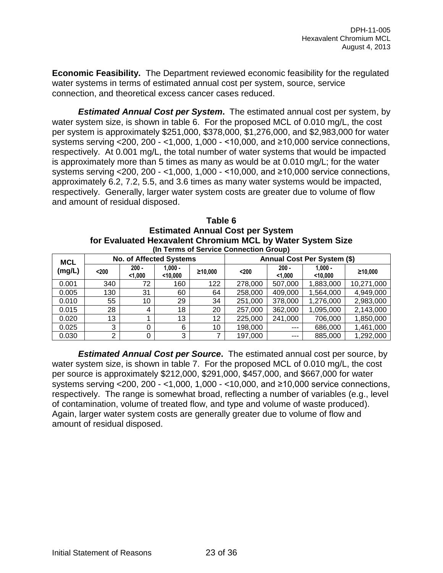**Economic Feasibility.** The Department reviewed economic feasibility for the regulated water systems in terms of estimated annual cost per system, source, service connection, and theoretical excess cancer cases reduced.

*Estimated Annual Cost per System***.** The estimated annual cost per system, by water system size, is shown in table 6. For the proposed MCL of 0.010 mg/L, the cost per system is approximately \$251,000, \$378,000, \$1,276,000, and \$2,983,000 for water systems serving <200, 200 - <1,000, 1,000 - <10,000, and ≥10,000 service connections, respectively. At 0.001 mg/L, the total number of water systems that would be impacted is approximately more than 5 times as many as would be at 0.010 mg/L; for the water systems serving <200, 200 - <1,000, 1,000 - <10,000, and ≥10,000 service connections, approximately 6.2, 7.2, 5.5, and 3.6 times as many water systems would be impacted, respectively. Generally, larger water system costs are greater due to volume of flow and amount of residual disposed.

| Table 6                                                    |
|------------------------------------------------------------|
| <b>Estimated Annual Cost per System</b>                    |
| for Evaluated Hexavalent Chromium MCL by Water System Size |
| (In Terms of Service Connection Group)                     |

| <b>MCL</b> |       | <b>No. of Affected Systems</b> |                         |         | Annual Cost Per System (\$) |                    |                         |            |  |  |
|------------|-------|--------------------------------|-------------------------|---------|-----------------------------|--------------------|-------------------------|------------|--|--|
| (mg/L)     | $200$ | $200 -$<br>< 1,000             | $1.000 -$<br>$<$ 10.000 | ≥10.000 | $200$                       | $200 -$<br>< 1.000 | $1.000 -$<br>$<$ 10.000 | ≥10.000    |  |  |
| 0.001      | 340   | 72                             | 160                     | 122     | 278,000                     | 507,000            | 1,883,000               | 10,271,000 |  |  |
| 0.005      | 130   | 31                             | 60                      | 64      | 258,000                     | 409,000            | 1,564,000               | 4,949,000  |  |  |
| 0.010      | 55    | 10                             | 29                      | 34      | 251,000                     | 378,000            | 1,276,000               | 2,983,000  |  |  |
| 0.015      | 28    | 4                              | 18                      | 20      | 257,000                     | 362,000            | 1,095,000               | 2,143,000  |  |  |
| 0.020      | 13    |                                | 13                      | 12      | 225,000                     | 241,000            | 706,000                 | 1,850,000  |  |  |
| 0.025      | 3     |                                | 6                       | 10      | 198,000                     | $- - -$            | 686,000                 | 1,461,000  |  |  |
| 0.030      | ⌒     |                                | 3                       |         | 197,000                     | ---                | 885,000                 | 1,292,000  |  |  |

*Estimated Annual Cost per Source***.** The estimated annual cost per source, by water system size, is shown in table 7. For the proposed MCL of 0.010 mg/L, the cost per source is approximately \$212,000, \$291,000, \$457,000, and \$667,000 for water systems serving <200, 200 - <1,000, 1,000 - <10,000, and ≥10,000 service connections, respectively. The range is somewhat broad, reflecting a number of variables (e.g., level of contamination, volume of treated flow, and type and volume of waste produced). Again, larger water system costs are generally greater due to volume of flow and amount of residual disposed.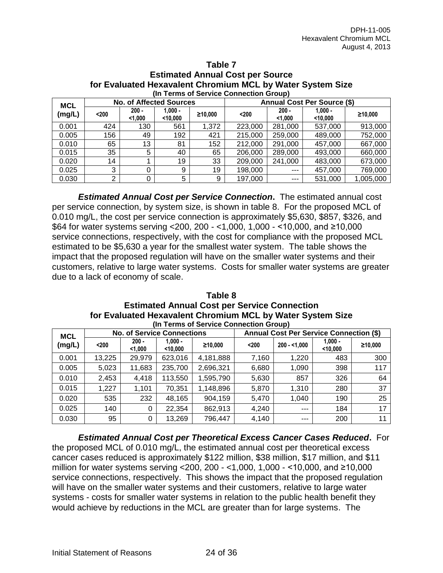|            | $\blacksquare$                         |                                |                       |         |         |                    |                                    |           |  |  |  |  |  |  |
|------------|----------------------------------------|--------------------------------|-----------------------|---------|---------|--------------------|------------------------------------|-----------|--|--|--|--|--|--|
|            | (In Terms of Service Connection Group) |                                |                       |         |         |                    |                                    |           |  |  |  |  |  |  |
| <b>MCL</b> |                                        | <b>No. of Affected Sources</b> |                       |         |         |                    | <b>Annual Cost Per Source (\$)</b> |           |  |  |  |  |  |  |
| (mg/L)     | $200$                                  | $200 -$<br>< 1,000             | $1.000 -$<br>< 10,000 | ≥10.000 | $200$   | $200 -$<br>< 1.000 | $1.000 -$<br>< 10,000              | ≥10,000   |  |  |  |  |  |  |
| 0.001      | 424                                    | 130                            | 561                   | 1,372   | 223,000 | 281,000            | 537,000                            | 913,000   |  |  |  |  |  |  |
| 0.005      | 156                                    | 49                             | 192                   | 421     | 215,000 | 259,000            | 489,000                            | 752,000   |  |  |  |  |  |  |
| 0.010      | 65                                     | 13                             | 81                    | 152     | 212,000 | 291,000            | 457,000                            | 667,000   |  |  |  |  |  |  |
| 0.015      | 35                                     | 5                              | 40                    | 65      | 206,000 | 289,000            | 493,000                            | 660,000   |  |  |  |  |  |  |
| 0.020      | 14                                     |                                | 19                    | 33      | 209,000 | 241,000            | 483,000                            | 673,000   |  |  |  |  |  |  |
| 0.025      | 3                                      | 0                              | 9                     | 19      | 198,000 | $---$              | 457,000                            | 769,000   |  |  |  |  |  |  |
| 0.030      | ⌒                                      | 0                              | 5                     | 9       | 197,000 | $---$              | 531,000                            | 1,005,000 |  |  |  |  |  |  |
|            |                                        |                                |                       |         |         |                    |                                    |           |  |  |  |  |  |  |

# **Table 7 Estimated Annual Cost per Source for Evaluated Hexavalent Chromium MCL by Water System Size**

*Estimated Annual Cost per Service Connection***.** The estimated annual cost per service connection, by system size, is shown in table 8. For the proposed MCL of 0.010 mg/L, the cost per service connection is approximately \$5,630, \$857, \$326, and \$64 for water systems serving <200, 200 - <1,000, 1,000 - <10,000, and ≥10,000 service connections, respectively, with the cost for compliance with the proposed MCL estimated to be \$5,630 a year for the smallest water system. The table shows the impact that the proposed regulation will have on the smaller water systems and their customers, relative to large water systems. Costs for smaller water systems are greater due to a lack of economy of scale.

#### **Table 8 Estimated Annual Cost per Service Connection for Evaluated Hexavalent Chromium MCL by Water System Size (In Terms of Service Connection Group)**

| <b>MCL</b> |        |                    | <b>No. of Service Connections</b> |           | <b>Annual Cost Per Service Connection (\$)</b> |               |                       |         |  |  |  |
|------------|--------|--------------------|-----------------------------------|-----------|------------------------------------------------|---------------|-----------------------|---------|--|--|--|
| (mg/L)     | $200$  | $200 -$<br>$1,000$ | $1.000 -$<br>$<$ 10,000           | ≥10.000   | $200$                                          | $200 - 1.000$ | $1,000 -$<br>< 10,000 | ≥10,000 |  |  |  |
| 0.001      | 13,225 | 29,979             | 623,016                           | 4,181,888 | 7,160                                          | 1,220         | 483                   | 300     |  |  |  |
| 0.005      | 5,023  | 11,683             | 235,700                           | 2,696,321 | 6,680                                          | 1,090         | 398                   | 117     |  |  |  |
| 0.010      | 2,453  | 4,418              | 113,550                           | 1,595,790 | 5,630                                          | 857           | 326                   | 64      |  |  |  |
| 0.015      | 1,227  | 1,101              | 70,351                            | 1,148,896 | 5,870                                          | 1,310         | 280                   | 37      |  |  |  |
| 0.020      | 535    | 232                | 48,165                            | 904.159   | 5,470                                          | 1,040         | 190                   | 25      |  |  |  |
| 0.025      | 140    | 0                  | 22,354                            | 862,913   | 4,240                                          | $--$          | 184                   | 17      |  |  |  |
| 0.030      | 95     | 0                  | 13,269                            | 796,447   | 4,140                                          | ---           | 200                   | 11      |  |  |  |

*Estimated Annual Cost per Theoretical Excess Cancer Cases Reduced***.** For the proposed MCL of 0.010 mg/L, the estimated annual cost per theoretical excess cancer cases reduced is approximately \$122 million, \$38 million, \$17 million, and \$11 million for water systems serving <200, 200 - <1,000, 1,000 - <10,000, and ≥10,000 service connections, respectively. This shows the impact that the proposed regulation will have on the smaller water systems and their customers, relative to large water systems - costs for smaller water systems in relation to the public health benefit they would achieve by reductions in the MCL are greater than for large systems. The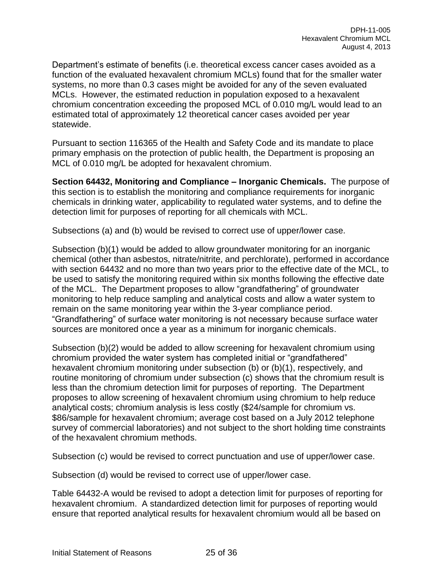Department's estimate of benefits (i.e. theoretical excess cancer cases avoided as a function of the evaluated hexavalent chromium MCLs) found that for the smaller water systems, no more than 0.3 cases might be avoided for any of the seven evaluated MCLs. However, the estimated reduction in population exposed to a hexavalent chromium concentration exceeding the proposed MCL of 0.010 mg/L would lead to an estimated total of approximately 12 theoretical cancer cases avoided per year statewide.

Pursuant to section 116365 of the Health and Safety Code and its mandate to place primary emphasis on the protection of public health, the Department is proposing an MCL of 0.010 mg/L be adopted for hexavalent chromium.

**Section 64432, Monitoring and Compliance – Inorganic Chemicals.** The purpose of this section is to establish the monitoring and compliance requirements for inorganic chemicals in drinking water, applicability to regulated water systems, and to define the detection limit for purposes of reporting for all chemicals with MCL.

Subsections (a) and (b) would be revised to correct use of upper/lower case.

Subsection (b)(1) would be added to allow groundwater monitoring for an inorganic chemical (other than asbestos, nitrate/nitrite, and perchlorate), performed in accordance with section 64432 and no more than two years prior to the effective date of the MCL, to be used to satisfy the monitoring required within six months following the effective date of the MCL. The Department proposes to allow "grandfathering" of groundwater monitoring to help reduce sampling and analytical costs and allow a water system to remain on the same monitoring year within the 3-year compliance period. "Grandfathering" of surface water monitoring is not necessary because surface water sources are monitored once a year as a minimum for inorganic chemicals.

Subsection (b)(2) would be added to allow screening for hexavalent chromium using chromium provided the water system has completed initial or "grandfathered" hexavalent chromium monitoring under subsection (b) or (b)(1), respectively, and routine monitoring of chromium under subsection (c) shows that the chromium result is less than the chromium detection limit for purposes of reporting. The Department proposes to allow screening of hexavalent chromium using chromium to help reduce analytical costs; chromium analysis is less costly (\$24/sample for chromium vs. \$86/sample for hexavalent chromium; average cost based on a July 2012 telephone survey of commercial laboratories) and not subject to the short holding time constraints of the hexavalent chromium methods.

Subsection (c) would be revised to correct punctuation and use of upper/lower case.

Subsection (d) would be revised to correct use of upper/lower case.

Table 64432-A would be revised to adopt a detection limit for purposes of reporting for hexavalent chromium. A standardized detection limit for purposes of reporting would ensure that reported analytical results for hexavalent chromium would all be based on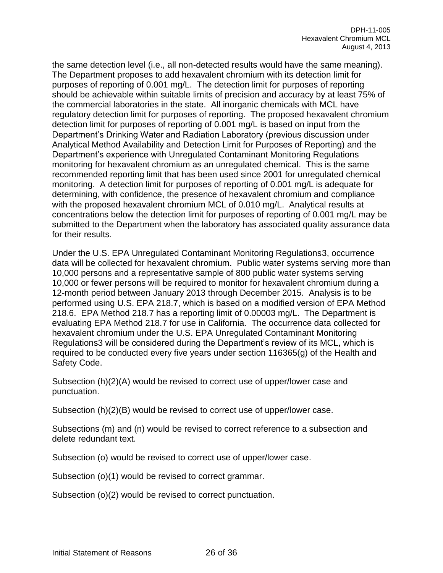the same detection level (i.e., all non-detected results would have the same meaning). The Department proposes to add hexavalent chromium with its detection limit for purposes of reporting of 0.001 mg/L. The detection limit for purposes of reporting should be achievable within suitable limits of precision and accuracy by at least 75% of the commercial laboratories in the state. All inorganic chemicals with MCL have regulatory detection limit for purposes of reporting. The proposed hexavalent chromium detection limit for purposes of reporting of 0.001 mg/L is based on input from the Department's Drinking Water and Radiation Laboratory (previous discussion under Analytical Method Availability and Detection Limit for Purposes of Reporting) and the Department's experience with Unregulated Contaminant Monitoring Regulations monitoring for hexavalent chromium as an unregulated chemical. This is the same recommended reporting limit that has been used since 2001 for unregulated chemical monitoring. A detection limit for purposes of reporting of 0.001 mg/L is adequate for determining, with confidence, the presence of hexavalent chromium and compliance with the proposed hexavalent chromium MCL of 0.010 mg/L. Analytical results at concentrations below the detection limit for purposes of reporting of 0.001 mg/L may be submitted to the Department when the laboratory has associated quality assurance data for their results.

Under the U.S. EPA Unregulated Contaminant Monitoring Regulations3, occurrence data will be collected for hexavalent chromium. Public water systems serving more than 10,000 persons and a representative sample of 800 public water systems serving 10,000 or fewer persons will be required to monitor for hexavalent chromium during a 12-month period between January 2013 through December 2015. Analysis is to be performed using U.S. EPA 218.7, which is based on a modified version of EPA Method 218.6. EPA Method 218.7 has a reporting limit of 0.00003 mg/L. The Department is evaluating EPA Method 218.7 for use in California. The occurrence data collected for hexavalent chromium under the U.S. EPA Unregulated Contaminant Monitoring Regulations3 will be considered during the Department's review of its MCL, which is required to be conducted every five years under section 116365(g) of the Health and Safety Code.

Subsection (h)(2)(A) would be revised to correct use of upper/lower case and punctuation.

Subsection (h)(2)(B) would be revised to correct use of upper/lower case.

Subsections (m) and (n) would be revised to correct reference to a subsection and delete redundant text.

Subsection (o) would be revised to correct use of upper/lower case.

Subsection (o)(1) would be revised to correct grammar.

Subsection (o)(2) would be revised to correct punctuation.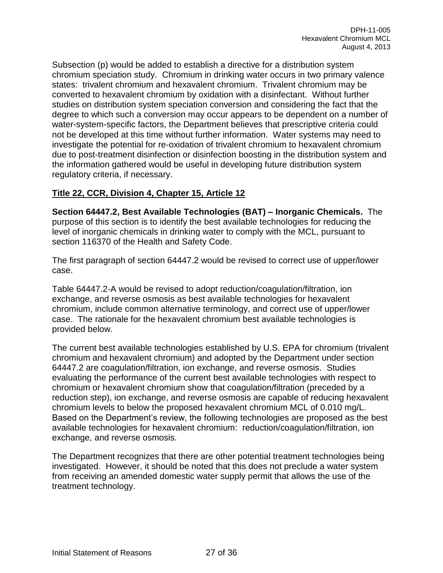Subsection (p) would be added to establish a directive for a distribution system chromium speciation study. Chromium in drinking water occurs in two primary valence states: trivalent chromium and hexavalent chromium. Trivalent chromium may be converted to hexavalent chromium by oxidation with a disinfectant. Without further studies on distribution system speciation conversion and considering the fact that the degree to which such a conversion may occur appears to be dependent on a number of water-system-specific factors, the Department believes that prescriptive criteria could not be developed at this time without further information. Water systems may need to investigate the potential for re-oxidation of trivalent chromium to hexavalent chromium due to post-treatment disinfection or disinfection boosting in the distribution system and the information gathered would be useful in developing future distribution system regulatory criteria, if necessary.

# **Title 22, CCR, Division 4, Chapter 15, Article 12**

**Section 64447.2, Best Available Technologies (BAT) – Inorganic Chemicals.** The purpose of this section is to identify the best available technologies for reducing the level of inorganic chemicals in drinking water to comply with the MCL, pursuant to section 116370 of the Health and Safety Code.

The first paragraph of section 64447.2 would be revised to correct use of upper/lower case.

Table 64447.2-A would be revised to adopt reduction/coagulation/filtration, ion exchange, and reverse osmosis as best available technologies for hexavalent chromium, include common alternative terminology, and correct use of upper/lower case. The rationale for the hexavalent chromium best available technologies is provided below.

The current best available technologies established by U.S. EPA for chromium (trivalent chromium and hexavalent chromium) and adopted by the Department under section 64447.2 are coagulation/filtration, ion exchange, and reverse osmosis. Studies evaluating the performance of the current best available technologies with respect to chromium or hexavalent chromium show that coagulation/filtration (preceded by a reduction step), ion exchange, and reverse osmosis are capable of reducing hexavalent chromium levels to below the proposed hexavalent chromium MCL of 0.010 mg/L. Based on the Department's review, the following technologies are proposed as the best available technologies for hexavalent chromium: reduction/coagulation/filtration, ion exchange, and reverse osmosis.

The Department recognizes that there are other potential treatment technologies being investigated. However, it should be noted that this does not preclude a water system from receiving an amended domestic water supply permit that allows the use of the treatment technology.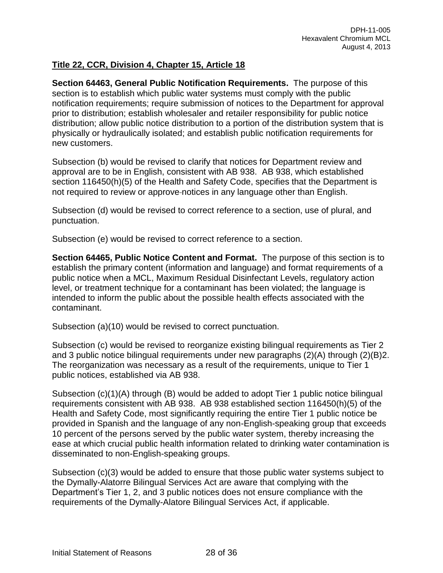# **Title 22, CCR, Division 4, Chapter 15, Article 18**

**Section 64463, General Public Notification Requirements.** The purpose of this section is to establish which public water systems must comply with the public notification requirements; require submission of notices to the Department for approval prior to distribution; establish wholesaler and retailer responsibility for public notice distribution; allow public notice distribution to a portion of the distribution system that is physically or hydraulically isolated; and establish public notification requirements for new customers.

Subsection (b) would be revised to clarify that notices for Department review and approval are to be in English, consistent with AB 938. AB 938, which established section 116450(h)(5) of the Health and Safety Code, specifies that the Department is not required to review or approve notices in any language other than English.

Subsection (d) would be revised to correct reference to a section, use of plural, and punctuation.

Subsection (e) would be revised to correct reference to a section.

**Section 64465, Public Notice Content and Format.** The purpose of this section is to establish the primary content (information and language) and format requirements of a public notice when a MCL, Maximum Residual Disinfectant Levels, regulatory action level, or treatment technique for a contaminant has been violated; the language is intended to inform the public about the possible health effects associated with the contaminant.

Subsection (a)(10) would be revised to correct punctuation.

Subsection (c) would be revised to reorganize existing bilingual requirements as Tier 2 and 3 public notice bilingual requirements under new paragraphs (2)(A) through (2)(B)2. The reorganization was necessary as a result of the requirements, unique to Tier 1 public notices, established via AB 938.

Subsection (c)(1)(A) through (B) would be added to adopt Tier 1 public notice bilingual requirements consistent with AB 938. AB 938 established section 116450(h)(5) of the Health and Safety Code, most significantly requiring the entire Tier 1 public notice be provided in Spanish and the language of any non-English-speaking group that exceeds 10 percent of the persons served by the public water system, thereby increasing the ease at which crucial public health information related to drinking water contamination is disseminated to non-English-speaking groups.

Subsection (c)(3) would be added to ensure that those public water systems subject to the Dymally-Alatorre Bilingual Services Act are aware that complying with the Department's Tier 1, 2, and 3 public notices does not ensure compliance with the requirements of the Dymally-Alatore Bilingual Services Act, if applicable.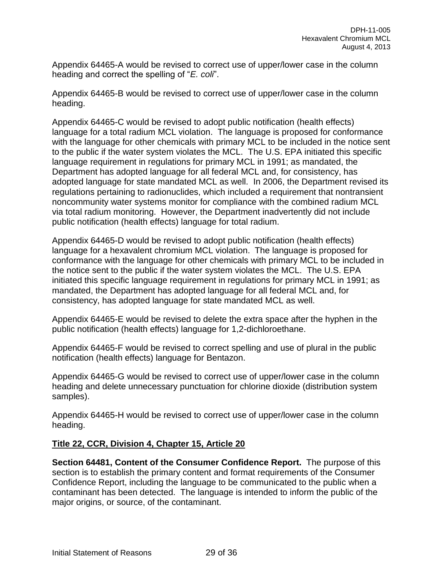Appendix 64465-A would be revised to correct use of upper/lower case in the column heading and correct the spelling of "*E. coli*".

Appendix 64465-B would be revised to correct use of upper/lower case in the column heading.

Appendix 64465-C would be revised to adopt public notification (health effects) language for a total radium MCL violation. The language is proposed for conformance with the language for other chemicals with primary MCL to be included in the notice sent to the public if the water system violates the MCL. The U.S. EPA initiated this specific language requirement in regulations for primary MCL in 1991; as mandated, the Department has adopted language for all federal MCL and, for consistency, has adopted language for state mandated MCL as well. In 2006, the Department revised its regulations pertaining to radionuclides, which included a requirement that nontransient noncommunity water systems monitor for compliance with the combined radium MCL via total radium monitoring. However, the Department inadvertently did not include public notification (health effects) language for total radium.

Appendix 64465-D would be revised to adopt public notification (health effects) language for a hexavalent chromium MCL violation. The language is proposed for conformance with the language for other chemicals with primary MCL to be included in the notice sent to the public if the water system violates the MCL. The U.S. EPA initiated this specific language requirement in regulations for primary MCL in 1991; as mandated, the Department has adopted language for all federal MCL and, for consistency, has adopted language for state mandated MCL as well.

Appendix 64465-E would be revised to delete the extra space after the hyphen in the public notification (health effects) language for 1,2-dichloroethane.

Appendix 64465-F would be revised to correct spelling and use of plural in the public notification (health effects) language for Bentazon.

Appendix 64465-G would be revised to correct use of upper/lower case in the column heading and delete unnecessary punctuation for chlorine dioxide (distribution system samples).

Appendix 64465-H would be revised to correct use of upper/lower case in the column heading.

# **Title 22, CCR, Division 4, Chapter 15, Article 20**

**Section 64481, Content of the Consumer Confidence Report.** The purpose of this section is to establish the primary content and format requirements of the Consumer Confidence Report, including the language to be communicated to the public when a contaminant has been detected. The language is intended to inform the public of the major origins, or source, of the contaminant.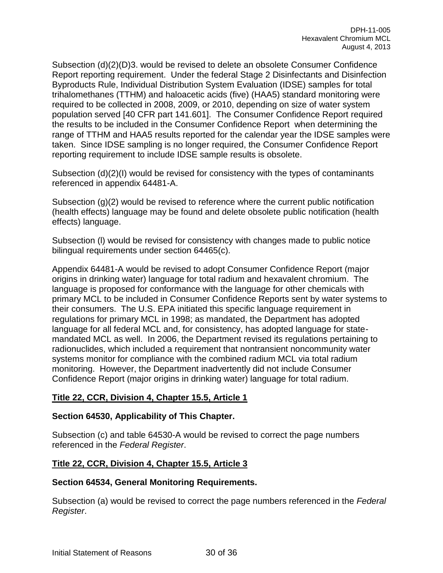Subsection (d)(2)(D)3. would be revised to delete an obsolete Consumer Confidence Report reporting requirement. Under the federal Stage 2 Disinfectants and Disinfection Byproducts Rule, Individual Distribution System Evaluation (IDSE) samples for total trihalomethanes (TTHM) and haloacetic acids (five) (HAA5) standard monitoring were required to be collected in 2008, 2009, or 2010, depending on size of water system population served [40 CFR part 141.601]. The Consumer Confidence Report required the results to be included in the Consumer Confidence Report when determining the range of TTHM and HAA5 results reported for the calendar year the IDSE samples were taken. Since IDSE sampling is no longer required, the Consumer Confidence Report reporting requirement to include IDSE sample results is obsolete.

Subsection (d)(2)(I) would be revised for consistency with the types of contaminants referenced in appendix 64481-A.

Subsection (g)(2) would be revised to reference where the current public notification (health effects) language may be found and delete obsolete public notification (health effects) language.

Subsection (l) would be revised for consistency with changes made to public notice bilingual requirements under section 64465(c).

Appendix 64481-A would be revised to adopt Consumer Confidence Report (major origins in drinking water) language for total radium and hexavalent chromium. The language is proposed for conformance with the language for other chemicals with primary MCL to be included in Consumer Confidence Reports sent by water systems to their consumers. The U.S. EPA initiated this specific language requirement in regulations for primary MCL in 1998; as mandated, the Department has adopted language for all federal MCL and, for consistency, has adopted language for statemandated MCL as well. In 2006, the Department revised its regulations pertaining to radionuclides, which included a requirement that nontransient noncommunity water systems monitor for compliance with the combined radium MCL via total radium monitoring. However, the Department inadvertently did not include Consumer Confidence Report (major origins in drinking water) language for total radium.

## **Title 22, CCR, Division 4, Chapter 15.5, Article 1**

## **Section 64530, Applicability of This Chapter.**

Subsection (c) and table 64530-A would be revised to correct the page numbers referenced in the *Federal Register*.

## **Title 22, CCR, Division 4, Chapter 15.5, Article 3**

## **Section 64534, General Monitoring Requirements.**

Subsection (a) would be revised to correct the page numbers referenced in the *Federal Register*.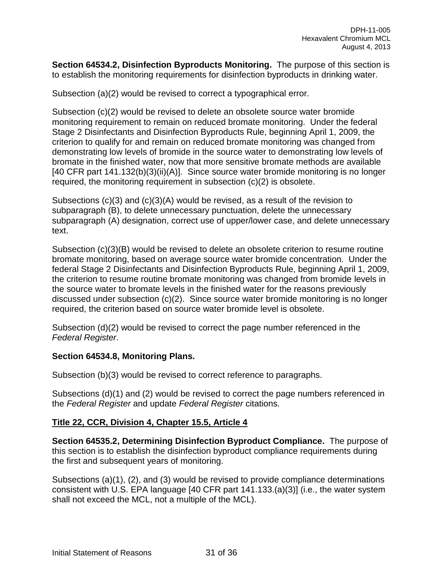**Section 64534.2, Disinfection Byproducts Monitoring.** The purpose of this section is to establish the monitoring requirements for disinfection byproducts in drinking water.

Subsection (a)(2) would be revised to correct a typographical error.

Subsection (c)(2) would be revised to delete an obsolete source water bromide monitoring requirement to remain on reduced bromate monitoring. Under the federal Stage 2 Disinfectants and Disinfection Byproducts Rule, beginning April 1, 2009, the criterion to qualify for and remain on reduced bromate monitoring was changed from demonstrating low levels of bromide in the source water to demonstrating low levels of bromate in the finished water, now that more sensitive bromate methods are available [40 CFR part 141.132(b)(3)(ii)(A)]. Since source water bromide monitoring is no longer required, the monitoring requirement in subsection (c)(2) is obsolete.

Subsections (c)(3) and (c)(3)(A) would be revised, as a result of the revision to subparagraph (B), to delete unnecessary punctuation, delete the unnecessary subparagraph (A) designation, correct use of upper/lower case, and delete unnecessary text.

Subsection (c)(3)(B) would be revised to delete an obsolete criterion to resume routine bromate monitoring, based on average source water bromide concentration. Under the federal Stage 2 Disinfectants and Disinfection Byproducts Rule, beginning April 1, 2009, the criterion to resume routine bromate monitoring was changed from bromide levels in the source water to bromate levels in the finished water for the reasons previously discussed under subsection (c)(2). Since source water bromide monitoring is no longer required, the criterion based on source water bromide level is obsolete.

Subsection (d)(2) would be revised to correct the page number referenced in the *Federal Register*.

## **Section 64534.8, Monitoring Plans.**

Subsection (b)(3) would be revised to correct reference to paragraphs.

Subsections (d)(1) and (2) would be revised to correct the page numbers referenced in the *Federal Register* and update *Federal Register* citations.

## **Title 22, CCR, Division 4, Chapter 15.5, Article 4**

**Section 64535.2, Determining Disinfection Byproduct Compliance.** The purpose of this section is to establish the disinfection byproduct compliance requirements during the first and subsequent years of monitoring.

Subsections (a)(1), (2), and (3) would be revised to provide compliance determinations consistent with U.S. EPA language [40 CFR part 141.133.(a)(3)] (i.e., the water system shall not exceed the MCL, not a multiple of the MCL).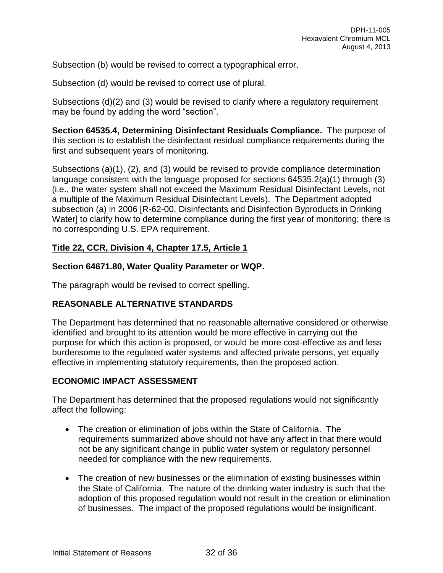Subsection (b) would be revised to correct a typographical error.

Subsection (d) would be revised to correct use of plural.

Subsections (d)(2) and (3) would be revised to clarify where a regulatory requirement may be found by adding the word "section".

**Section 64535.4, Determining Disinfectant Residuals Compliance.** The purpose of this section is to establish the disinfectant residual compliance requirements during the first and subsequent years of monitoring.

Subsections (a)(1), (2), and (3) would be revised to provide compliance determination language consistent with the language proposed for sections 64535.2(a)(1) through (3) (i.e., the water system shall not exceed the Maximum Residual Disinfectant Levels, not a multiple of the Maximum Residual Disinfectant Levels). The Department adopted subsection (a) in 2006 [R-62-00, Disinfectants and Disinfection Byproducts in Drinking Water] to clarify how to determine compliance during the first year of monitoring; there is no corresponding U.S. EPA requirement.

# **Title 22, CCR, Division 4, Chapter 17.5, Article 1**

### **Section 64671.80, Water Quality Parameter or WQP.**

The paragraph would be revised to correct spelling.

## **REASONABLE ALTERNATIVE STANDARDS**

The Department has determined that no reasonable alternative considered or otherwise identified and brought to its attention would be more effective in carrying out the purpose for which this action is proposed, or would be more cost-effective as and less burdensome to the regulated water systems and affected private persons, yet equally effective in implementing statutory requirements, than the proposed action.

## **ECONOMIC IMPACT ASSESSMENT**

The Department has determined that the proposed regulations would not significantly affect the following:

- The creation or elimination of jobs within the State of California. The requirements summarized above should not have any affect in that there would not be any significant change in public water system or regulatory personnel needed for compliance with the new requirements.
- The creation of new businesses or the elimination of existing businesses within the State of California. The nature of the drinking water industry is such that the adoption of this proposed regulation would not result in the creation or elimination of businesses. The impact of the proposed regulations would be insignificant.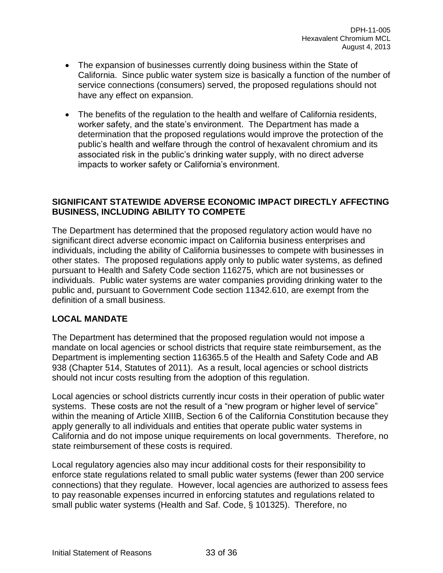- The expansion of businesses currently doing business within the State of California. Since public water system size is basically a function of the number of service connections (consumers) served, the proposed regulations should not have any effect on expansion.
- The benefits of the regulation to the health and welfare of California residents, worker safety, and the state's environment. The Department has made a determination that the proposed regulations would improve the protection of the public's health and welfare through the control of hexavalent chromium and its associated risk in the public's drinking water supply, with no direct adverse impacts to worker safety or California's environment.

## **SIGNIFICANT STATEWIDE ADVERSE ECONOMIC IMPACT DIRECTLY AFFECTING BUSINESS, INCLUDING ABILITY TO COMPETE**

The Department has determined that the proposed regulatory action would have no significant direct adverse economic impact on California business enterprises and individuals, including the ability of California businesses to compete with businesses in other states. The proposed regulations apply only to public water systems, as defined pursuant to Health and Safety Code section 116275, which are not businesses or individuals. Public water systems are water companies providing drinking water to the public and, pursuant to Government Code section 11342.610, are exempt from the definition of a small business.

## **LOCAL MANDATE**

The Department has determined that the proposed regulation would not impose a mandate on local agencies or school districts that require state reimbursement, as the Department is implementing section 116365.5 of the Health and Safety Code and AB 938 (Chapter 514, Statutes of 2011). As a result, local agencies or school districts should not incur costs resulting from the adoption of this regulation.

Local agencies or school districts currently incur costs in their operation of public water systems. These costs are not the result of a "new program or higher level of service" within the meaning of Article XIIIB, Section 6 of the California Constitution because they apply generally to all individuals and entities that operate public water systems in California and do not impose unique requirements on local governments. Therefore, no state reimbursement of these costs is required.

Local regulatory agencies also may incur additional costs for their responsibility to enforce state regulations related to small public water systems (fewer than 200 service connections) that they regulate. However, local agencies are authorized to assess fees to pay reasonable expenses incurred in enforcing statutes and regulations related to small public water systems (Health and Saf. Code, § 101325). Therefore, no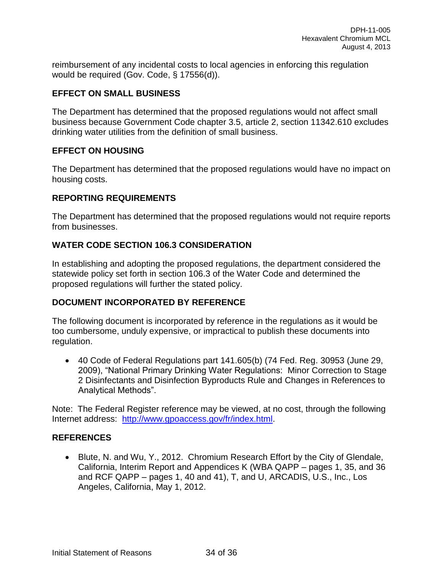reimbursement of any incidental costs to local agencies in enforcing this regulation would be required (Gov. Code, § 17556(d)).

# **EFFECT ON SMALL BUSINESS**

The Department has determined that the proposed regulations would not affect small business because Government Code chapter 3.5, article 2, section 11342.610 excludes drinking water utilities from the definition of small business.

# **EFFECT ON HOUSING**

The Department has determined that the proposed regulations would have no impact on housing costs.

## **REPORTING REQUIREMENTS**

The Department has determined that the proposed regulations would not require reports from businesses.

# **WATER CODE SECTION 106.3 CONSIDERATION**

In establishing and adopting the proposed regulations, the department considered the statewide policy set forth in section 106.3 of the Water Code and determined the proposed regulations will further the stated policy.

## **DOCUMENT INCORPORATED BY REFERENCE**

The following document is incorporated by reference in the regulations as it would be too cumbersome, unduly expensive, or impractical to publish these documents into regulation.

 40 Code of Federal Regulations part 141.605(b) (74 Fed. Reg. 30953 (June 29, 2009), "National Primary Drinking Water Regulations: Minor Correction to Stage 2 Disinfectants and Disinfection Byproducts Rule and Changes in References to Analytical Methods".

Note: The Federal Register reference may be viewed, at no cost, through the following Internet address: [http://www.gpoaccess.gov/fr/index.html.](http://www.gpoaccess.gov/fr/index.html)

## **REFERENCES**

• Blute, N. and Wu, Y., 2012. Chromium Research Effort by the City of Glendale, California, Interim Report and Appendices K (WBA QAPP – pages 1, 35, and 36 and RCF QAPP – pages 1, 40 and 41), T, and U, ARCADIS, U.S., Inc., Los Angeles, California, May 1, 2012.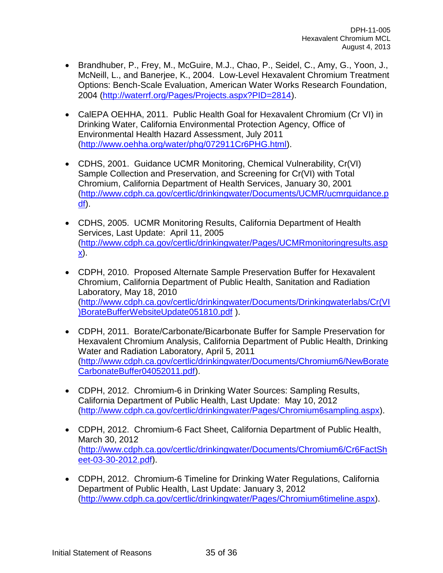- Brandhuber, P., Frey, M., McGuire, M.J., Chao, P., Seidel, C., Amy, G., Yoon, J., McNeill, L., and Banerjee, K., 2004. Low-Level Hexavalent Chromium Treatment Options: Bench-Scale Evaluation, American Water Works Research Foundation, 2004 [\(http://waterrf.org/Pages/Projects.aspx?PID=2814\)](http://waterrf.org/Pages/Projects.aspx?PID=2814).
- CalEPA OEHHA, 2011. Public Health Goal for Hexavalent Chromium (Cr VI) in Drinking Water, California Environmental Protection Agency, Office of Environmental Health Hazard Assessment, July 2011 [\(http://www.oehha.org/water/phg/072911Cr6PHG.html\)](http://www.oehha.org/water/phg/072911Cr6PHG.html).
- CDHS, 2001. Guidance UCMR Monitoring, Chemical Vulnerability, Cr(VI) Sample Collection and Preservation, and Screening for Cr(VI) with Total Chromium, California Department of Health Services, January 30, 2001 [\(http://www.cdph.ca.gov/certlic/drinkingwater/Documents/UCMR/ucmrguidance.p](http://www.cdph.ca.gov/certlic/drinkingwater/Documents/UCMR/ucmrguidance.pdf) [df\)](http://www.cdph.ca.gov/certlic/drinkingwater/Documents/UCMR/ucmrguidance.pdf).
- CDHS, 2005. UCMR Monitoring Results, California Department of Health Services, Last Update: April 11, 2005 [\(http://www.cdph.ca.gov/certlic/drinkingwater/Pages/UCMRmonitoringresults.asp](http://www.cdph.ca.gov/certlic/drinkingwater/Pages/UCMRmonitoringresults.aspx) [x\)](http://www.cdph.ca.gov/certlic/drinkingwater/Pages/UCMRmonitoringresults.aspx).
- CDPH, 2010. Proposed Alternate Sample Preservation Buffer for Hexavalent Chromium, California Department of Public Health, Sanitation and Radiation Laboratory, May 18, 2010 [\(http://www.cdph.ca.gov/certlic/drinkingwater/Documents/Drinkingwaterlabs/Cr\(VI](http://www.cdph.ca.gov/certlic/drinkingwater/Documents/Drinkingwaterlabs/Cr(VI)BorateBufferWebsiteUpdate051810.pdf) [\)BorateBufferWebsiteUpdate051810.pdf](http://www.cdph.ca.gov/certlic/drinkingwater/Documents/Drinkingwaterlabs/Cr(VI)BorateBufferWebsiteUpdate051810.pdf) ).
- CDPH, 2011. Borate/Carbonate/Bicarbonate Buffer for Sample Preservation for Hexavalent Chromium Analysis, California Department of Public Health, Drinking Water and Radiation Laboratory, April 5, 2011 [\(http://www.cdph.ca.gov/certlic/drinkingwater/Documents/Chromium6/NewBorate](http://www.cdph.ca.gov/certlic/drinkingwater/Documents/Chromium6/NewBorateCarbonateBuffer04052011.pdf) [CarbonateBuffer04052011.pdf\)](http://www.cdph.ca.gov/certlic/drinkingwater/Documents/Chromium6/NewBorateCarbonateBuffer04052011.pdf).
- CDPH, 2012. Chromium-6 in Drinking Water Sources: Sampling Results, California Department of Public Health, Last Update: May 10, 2012 [\(http://www.cdph.ca.gov/certlic/drinkingwater/Pages/Chromium6sampling.aspx\)](http://www.cdph.ca.gov/certlic/drinkingwater/Pages/Chromium6sampling.aspx).
- CDPH, 2012. Chromium-6 Fact Sheet, California Department of Public Health, March 30, 2012 [\(http://www.cdph.ca.gov/certlic/drinkingwater/Documents/Chromium6/Cr6FactSh](http://www.cdph.ca.gov/certlic/drinkingwater/Documents/Chromium6/Cr6FactSheet-03-30-2012.pdf) [eet-03-30-2012.pdf\)](http://www.cdph.ca.gov/certlic/drinkingwater/Documents/Chromium6/Cr6FactSheet-03-30-2012.pdf).
- CDPH, 2012. Chromium-6 Timeline for Drinking Water Regulations, California Department of Public Health, Last Update: January 3, 2012 [\(http://www.cdph.ca.gov/certlic/drinkingwater/Pages/Chromium6timeline.aspx\)](http://www.cdph.ca.gov/certlic/drinkingwater/Pages/Chromium6timeline.aspx).